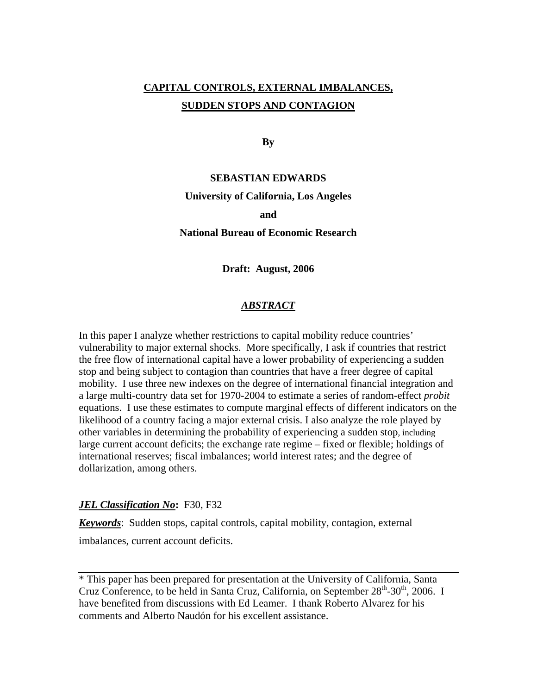# **CAPITAL CONTROLS, EXTERNAL IMBALANCES, SUDDEN STOPS AND CONTAGION**

**By** 

### **SEBASTIAN EDWARDS**

#### **University of California, Los Angeles**

#### **and**

### **National Bureau of Economic Research**

**Draft: August, 2006** 

## *ABSTRACT*

In this paper I analyze whether restrictions to capital mobility reduce countries' vulnerability to major external shocks. More specifically, I ask if countries that restrict the free flow of international capital have a lower probability of experiencing a sudden stop and being subject to contagion than countries that have a freer degree of capital mobility. I use three new indexes on the degree of international financial integration and a large multi-country data set for 1970-2004 to estimate a series of random-effect *probit* equations. I use these estimates to compute marginal effects of different indicators on the likelihood of a country facing a major external crisis. I also analyze the role played by other variables in determining the probability of experiencing a sudden stop, including large current account deficits; the exchange rate regime – fixed or flexible; holdings of international reserves; fiscal imbalances; world interest rates; and the degree of dollarization, among others.

#### *JEL Classification No***:** F30, F32

*Keywords*: Sudden stops, capital controls, capital mobility, contagion, external imbalances, current account deficits.

\* This paper has been prepared for presentation at the University of California, Santa Cruz Conference, to be held in Santa Cruz, California, on September  $28<sup>th</sup>$ -30<sup>th</sup>, 2006. I have benefited from discussions with Ed Leamer. I thank Roberto Alvarez for his comments and Alberto Naudón for his excellent assistance.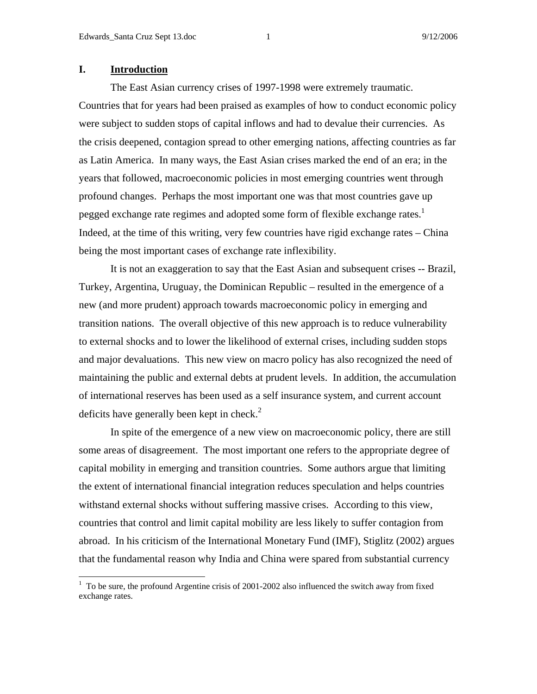## **I. Introduction**

The East Asian currency crises of 1997-1998 were extremely traumatic. Countries that for years had been praised as examples of how to conduct economic policy were subject to sudden stops of capital inflows and had to devalue their currencies. As the crisis deepened, contagion spread to other emerging nations, affecting countries as far as Latin America. In many ways, the East Asian crises marked the end of an era; in the years that followed, macroeconomic policies in most emerging countries went through profound changes. Perhaps the most important one was that most countries gave up pegged exchange rate regimes and adopted some form of flexible exchange rates.<sup>1</sup> Indeed, at the time of this writing, very few countries have rigid exchange rates – China being the most important cases of exchange rate inflexibility.

It is not an exaggeration to say that the East Asian and subsequent crises -- Brazil, Turkey, Argentina, Uruguay, the Dominican Republic – resulted in the emergence of a new (and more prudent) approach towards macroeconomic policy in emerging and transition nations. The overall objective of this new approach is to reduce vulnerability to external shocks and to lower the likelihood of external crises, including sudden stops and major devaluations. This new view on macro policy has also recognized the need of maintaining the public and external debts at prudent levels. In addition, the accumulation of international reserves has been used as a self insurance system, and current account deficits have generally been kept in check. $2$ 

In spite of the emergence of a new view on macroeconomic policy, there are still some areas of disagreement. The most important one refers to the appropriate degree of capital mobility in emerging and transition countries. Some authors argue that limiting the extent of international financial integration reduces speculation and helps countries withstand external shocks without suffering massive crises. According to this view, countries that control and limit capital mobility are less likely to suffer contagion from abroad. In his criticism of the International Monetary Fund (IMF), Stiglitz (2002) argues that the fundamental reason why India and China were spared from substantial currency

<sup>&</sup>lt;sup>1</sup> To be sure, the profound Argentine crisis of 2001-2002 also influenced the switch away from fixed exchange rates.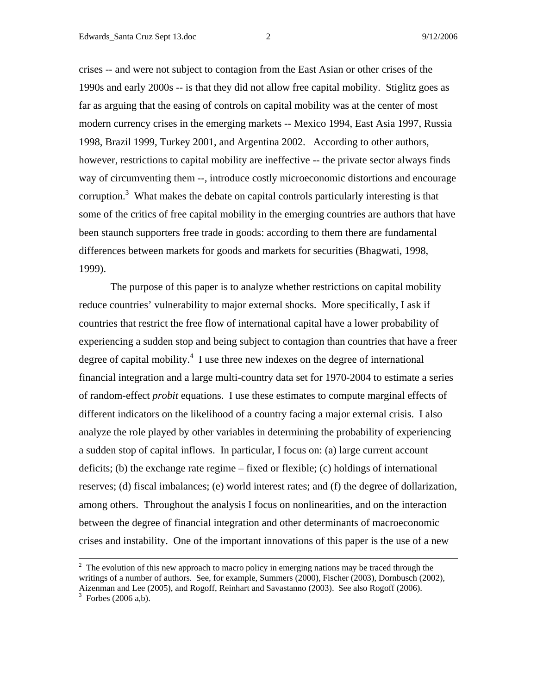crises -- and were not subject to contagion from the East Asian or other crises of the 1990s and early 2000s -- is that they did not allow free capital mobility. Stiglitz goes as far as arguing that the easing of controls on capital mobility was at the center of most modern currency crises in the emerging markets -- Mexico 1994, East Asia 1997, Russia 1998, Brazil 1999, Turkey 2001, and Argentina 2002. According to other authors, however, restrictions to capital mobility are ineffective -- the private sector always finds way of circumventing them --, introduce costly microeconomic distortions and encourage corruption.<sup>3</sup> What makes the debate on capital controls particularly interesting is that some of the critics of free capital mobility in the emerging countries are authors that have been staunch supporters free trade in goods: according to them there are fundamental differences between markets for goods and markets for securities (Bhagwati, 1998, 1999).

 The purpose of this paper is to analyze whether restrictions on capital mobility reduce countries' vulnerability to major external shocks. More specifically, I ask if countries that restrict the free flow of international capital have a lower probability of experiencing a sudden stop and being subject to contagion than countries that have a freer degree of capital mobility. $4$  I use three new indexes on the degree of international financial integration and a large multi-country data set for 1970-2004 to estimate a series of random-effect *probit* equations. I use these estimates to compute marginal effects of different indicators on the likelihood of a country facing a major external crisis. I also analyze the role played by other variables in determining the probability of experiencing a sudden stop of capital inflows. In particular, I focus on: (a) large current account deficits; (b) the exchange rate regime – fixed or flexible; (c) holdings of international reserves; (d) fiscal imbalances; (e) world interest rates; and (f) the degree of dollarization, among others. Throughout the analysis I focus on nonlinearities, and on the interaction between the degree of financial integration and other determinants of macroeconomic crises and instability. One of the important innovations of this paper is the use of a new

<sup>&</sup>lt;sup>2</sup>  $2\degree$  The evolution of this new approach to macro policy in emerging nations may be traced through the writings of a number of authors. See, for example, Summers (2000), Fischer (2003), Dornbusch (2002), Aizenman and Lee (2005), and Rogoff, Reinhart and Savastanno (2003). See also Rogoff (2006).  $3$  Forbes (2006 a,b).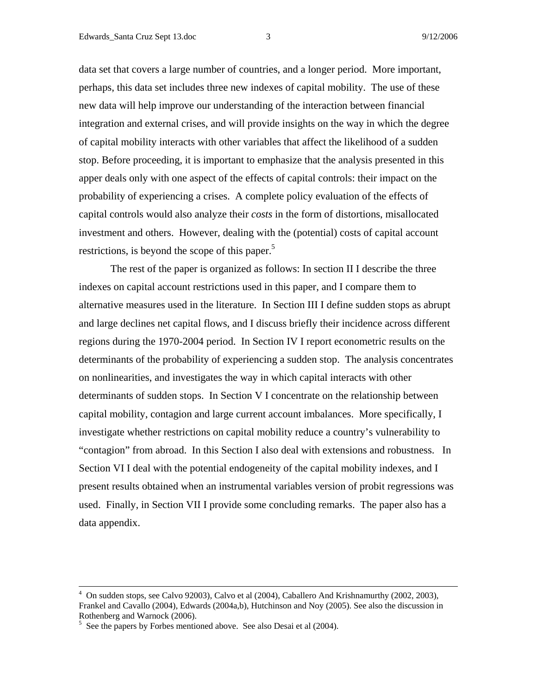data set that covers a large number of countries, and a longer period. More important, perhaps, this data set includes three new indexes of capital mobility. The use of these new data will help improve our understanding of the interaction between financial integration and external crises, and will provide insights on the way in which the degree of capital mobility interacts with other variables that affect the likelihood of a sudden stop. Before proceeding, it is important to emphasize that the analysis presented in this apper deals only with one aspect of the effects of capital controls: their impact on the probability of experiencing a crises. A complete policy evaluation of the effects of capital controls would also analyze their *costs* in the form of distortions, misallocated investment and others. However, dealing with the (potential) costs of capital account restrictions, is beyond the scope of this paper.<sup>5</sup>

The rest of the paper is organized as follows: In section II I describe the three indexes on capital account restrictions used in this paper, and I compare them to alternative measures used in the literature. In Section III I define sudden stops as abrupt and large declines net capital flows, and I discuss briefly their incidence across different regions during the 1970-2004 period. In Section IV I report econometric results on the determinants of the probability of experiencing a sudden stop. The analysis concentrates on nonlinearities, and investigates the way in which capital interacts with other determinants of sudden stops. In Section V I concentrate on the relationship between capital mobility, contagion and large current account imbalances. More specifically, I investigate whether restrictions on capital mobility reduce a country's vulnerability to "contagion" from abroad. In this Section I also deal with extensions and robustness. In Section VI I deal with the potential endogeneity of the capital mobility indexes, and I present results obtained when an instrumental variables version of probit regressions was used. Finally, in Section VII I provide some concluding remarks. The paper also has a data appendix.

 $\frac{1}{4}$  $4\degree$  On sudden stops, see Calvo 92003), Calvo et al (2004), Caballero And Krishnamurthy (2002, 2003), Frankel and Cavallo (2004), Edwards (2004a,b), Hutchinson and Noy (2005). See also the discussion in Rothenberg and Warnock (2006).

<sup>&</sup>lt;sup>5</sup> See the papers by Forbes mentioned above. See also Desai et al (2004).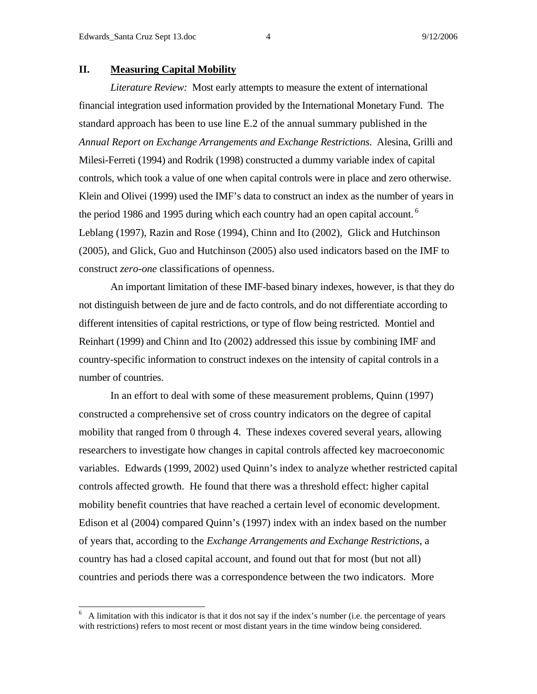## **II. Measuring Capital Mobility**

*Literature Review:* Most early attempts to measure the extent of international financial integration used information provided by the International Monetary Fund. The standard approach has been to use line E.2 of the annual summary published in the *Annual Report on Exchange Arrangements and Exchange Restrictions*. Alesina, Grilli and Milesi-Ferreti (1994) and Rodrik (1998) constructed a dummy variable index of capital controls, which took a value of one when capital controls were in place and zero otherwise. Klein and Olivei (1999) used the IMF's data to construct an index as the number of years in the period 1986 and 1995 during which each country had an open capital account.<sup>6</sup> Leblang (1997), Razin and Rose (1994), Chinn and Ito (2002), Glick and Hutchinson (2005), and Glick, Guo and Hutchinson (2005) also used indicators based on the IMF to construct *zero-one* classifications of openness.

An important limitation of these IMF-based binary indexes, however, is that they do not distinguish between de jure and de facto controls, and do not differentiate according to different intensities of capital restrictions, or type of flow being restricted. Montiel and Reinhart (1999) and Chinn and Ito (2002) addressed this issue by combining IMF and country-specific information to construct indexes on the intensity of capital controls in a number of countries.

In an effort to deal with some of these measurement problems, Quinn (1997) constructed a comprehensive set of cross country indicators on the degree of capital mobility that ranged from 0 through 4. These indexes covered several years, allowing researchers to investigate how changes in capital controls affected key macroeconomic variables. Edwards (1999, 2002) used Quinn's index to analyze whether restricted capital controls affected growth. He found that there was a threshold effect: higher capital mobility benefit countries that have reached a certain level of economic development. Edison et al (2004) compared Quinn's (1997) index with an index based on the number of years that, according to the *Exchange Arrangements and Exchange Restrictions*, a country has had a closed capital account, and found out that for most (but not all) countries and periods there was a correspondence between the two indicators. More

<sup>6</sup> A limitation with this indicator is that it dos not say if the index's number (i.e. the percentage of years with restrictions) refers to most recent or most distant years in the time window being considered.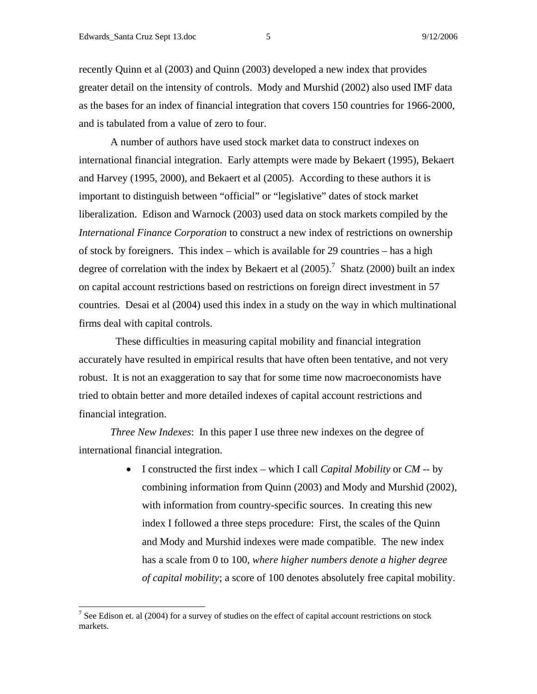recently Quinn et al (2003) and Quinn (2003) developed a new index that provides greater detail on the intensity of controls. Mody and Murshid (2002) also used IMF data as the bases for an index of financial integration that covers 150 countries for 1966-2000, and is tabulated from a value of zero to four.

A number of authors have used stock market data to construct indexes on international financial integration. Early attempts were made by Bekaert (1995), Bekaert and Harvey (1995, 2000), and Bekaert et al (2005). According to these authors it is important to distinguish between "official" or "legislative" dates of stock market liberalization. Edison and Warnock (2003) used data on stock markets compiled by the *International Finance Corporation* to construct a new index of restrictions on ownership of stock by foreigners. This index – which is available for 29 countries – has a high degree of correlation with the index by Bekaert et al  $(2005)$ .<sup>7</sup> Shatz (2000) built an index on capital account restrictions based on restrictions on foreign direct investment in 57 countries. Desai et al (2004) used this index in a study on the way in which multinational firms deal with capital controls.

 These difficulties in measuring capital mobility and financial integration accurately have resulted in empirical results that have often been tentative, and not very robust. It is not an exaggeration to say that for some time now macroeconomists have tried to obtain better and more detailed indexes of capital account restrictions and financial integration.

*Three New Indexes*: In this paper I use three new indexes on the degree of international financial integration.

> • I constructed the first index – which I call *Capital Mobility* or *CM* -- by combining information from Quinn (2003) and Mody and Murshid (2002), with information from country-specific sources. In creating this new index I followed a three steps procedure: First, the scales of the Quinn and Mody and Murshid indexes were made compatible. The new index has a scale from 0 to 100, *where higher numbers denote a higher degree of capital mobility*; a score of 100 denotes absolutely free capital mobility.

<sup>&</sup>lt;sup>7</sup> See Edison et. al (2004) for a survey of studies on the effect of capital account restrictions on stock markets.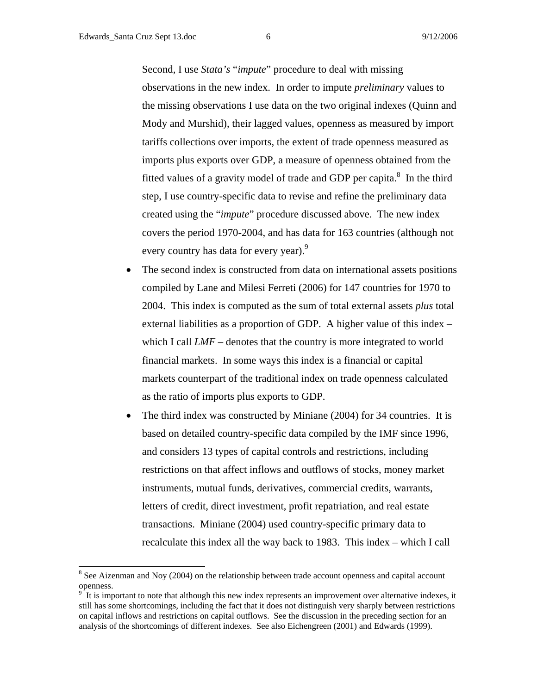l

Second, I use *Stata's* "*impute*" procedure to deal with missing observations in the new index. In order to impute *preliminary* values to the missing observations I use data on the two original indexes (Quinn and Mody and Murshid), their lagged values, openness as measured by import tariffs collections over imports, the extent of trade openness measured as imports plus exports over GDP, a measure of openness obtained from the fitted values of a gravity model of trade and GDP per capita. $8\,$  In the third step, I use country-specific data to revise and refine the preliminary data created using the "*impute*" procedure discussed above. The new index covers the period 1970-2004, and has data for 163 countries (although not every country has data for every year).<sup>9</sup>

- The second index is constructed from data on international assets positions compiled by Lane and Milesi Ferreti (2006) for 147 countries for 1970 to 2004. This index is computed as the sum of total external assets *plus* total external liabilities as a proportion of GDP. A higher value of this index – which I call *LMF* – denotes that the country is more integrated to world financial markets. In some ways this index is a financial or capital markets counterpart of the traditional index on trade openness calculated as the ratio of imports plus exports to GDP.
- The third index was constructed by Miniane (2004) for 34 countries. It is based on detailed country-specific data compiled by the IMF since 1996, and considers 13 types of capital controls and restrictions, including restrictions on that affect inflows and outflows of stocks, money market instruments, mutual funds, derivatives, commercial credits, warrants, letters of credit, direct investment, profit repatriation, and real estate transactions. Miniane (2004) used country-specific primary data to recalculate this index all the way back to 1983. This index – which I call

 $8$  See Aizenman and Noy (2004) on the relationship between trade account openness and capital account openness.

<sup>9</sup> It is important to note that although this new index represents an improvement over alternative indexes, it still has some shortcomings, including the fact that it does not distinguish very sharply between restrictions on capital inflows and restrictions on capital outflows. See the discussion in the preceding section for an analysis of the shortcomings of different indexes. See also Eichengreen (2001) and Edwards (1999).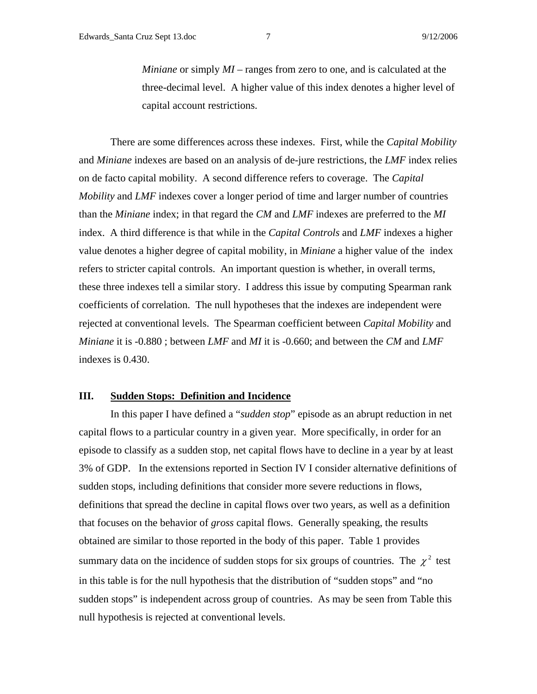*Miniane* or simply *MI* – ranges from zero to one, and is calculated at the three-decimal level. A higher value of this index denotes a higher level of capital account restrictions.

There are some differences across these indexes. First, while the *Capital Mobility* and *Miniane* indexes are based on an analysis of de-jure restrictions, the *LMF* index relies on de facto capital mobility. A second difference refers to coverage. The *Capital Mobility* and *LMF* indexes cover a longer period of time and larger number of countries than the *Miniane* index; in that regard the *CM* and *LMF* indexes are preferred to the *MI* index. A third difference is that while in the *Capital Controls* and *LMF* indexes a higher value denotes a higher degree of capital mobility, in *Miniane* a higher value of the index refers to stricter capital controls. An important question is whether, in overall terms, these three indexes tell a similar story. I address this issue by computing Spearman rank coefficients of correlation. The null hypotheses that the indexes are independent were rejected at conventional levels. The Spearman coefficient between *Capital Mobility* and *Miniane* it is -0.880 ; between *LMF* and *MI* it is -0.660; and between the *CM* and *LMF* indexes is 0.430.

## **III. Sudden Stops: Definition and Incidence**

 In this paper I have defined a "*sudden stop*" episode as an abrupt reduction in net capital flows to a particular country in a given year. More specifically, in order for an episode to classify as a sudden stop, net capital flows have to decline in a year by at least 3% of GDP. In the extensions reported in Section IV I consider alternative definitions of sudden stops, including definitions that consider more severe reductions in flows, definitions that spread the decline in capital flows over two years, as well as a definition that focuses on the behavior of *gross* capital flows. Generally speaking, the results obtained are similar to those reported in the body of this paper. Table 1 provides summary data on the incidence of sudden stops for six groups of countries. The  $\chi^2$  test in this table is for the null hypothesis that the distribution of "sudden stops" and "no sudden stops" is independent across group of countries. As may be seen from Table this null hypothesis is rejected at conventional levels.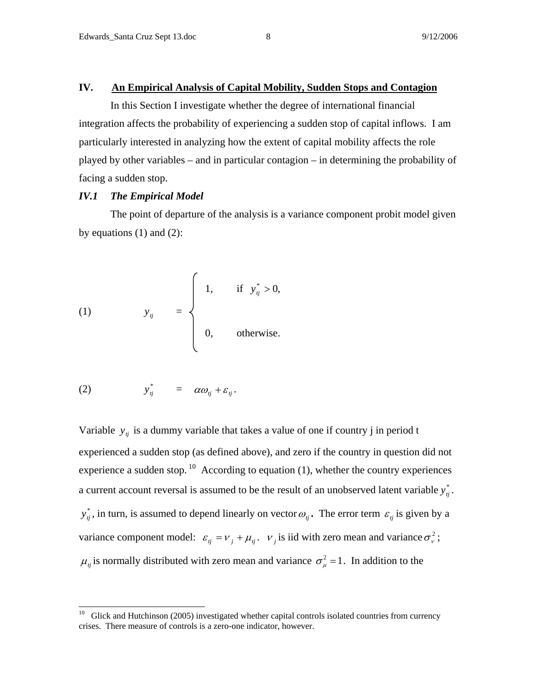## **IV. An Empirical Analysis of Capital Mobility, Sudden Stops and Contagion**

 In this Section I investigate whether the degree of international financial integration affects the probability of experiencing a sudden stop of capital inflows. I am particularly interested in analyzing how the extent of capital mobility affects the role played by other variables – and in particular contagion – in determining the probability of facing a sudden stop.

#### *IV.1 The Empirical Model*

 The point of departure of the analysis is a variance component probit model given by equations  $(1)$  and  $(2)$ :

(1) 
$$
y_{ij} = \begin{cases} 1, & \text{if } y_{ij}^* > 0, \\ 0, & \text{otherwise.} \end{cases}
$$

$$
(2) \t y_{ij}^* = \alpha \omega_{ij} + \varepsilon_{ij}.
$$

Variable  $y_{ij}$  is a dummy variable that takes a value of one if country j in period t experienced a sudden stop (as defined above), and zero if the country in question did not experience a sudden stop.  $^{10}$  According to equation (1), whether the country experiences a current account reversal is assumed to be the result of an unobserved latent variable  $y_j^*$ .  $y_{ij}^*$ , in turn, is assumed to depend linearly on vector  $\omega_{ij}$ . The error term  $\varepsilon_{ij}$  is given by a variance component model:  $\varepsilon_{ij} = v_j + \mu_{ij}$ .  $v_j$  is iid with zero mean and variance  $\sigma_v^2$ ;  $\mu_i$  is normally distributed with zero mean and variance  $\sigma_{\mu}^2 = 1$ . In addition to the

 $10\,$ 10 Glick and Hutchinson (2005) investigated whether capital controls isolated countries from currency crises. There measure of controls is a zero-one indicator, however.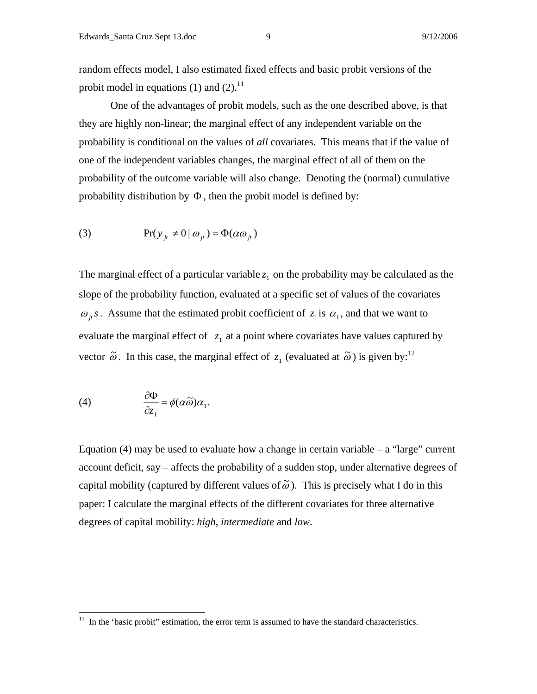random effects model, I also estimated fixed effects and basic probit versions of the probit model in equations (1) and (2). $^{11}$ 

 One of the advantages of probit models, such as the one described above, is that they are highly non-linear; the marginal effect of any independent variable on the probability is conditional on the values of *all* covariates. This means that if the value of one of the independent variables changes, the marginal effect of all of them on the probability of the outcome variable will also change. Denoting the (normal) cumulative probability distribution by  $\Phi$ , then the probit model is defined by:

(3) 
$$
\Pr(y_{it} \neq 0 \mid \omega_{it}) = \Phi(\alpha \omega_{it})
$$

The marginal effect of a particular variable  $z_1$  on the probability may be calculated as the slope of the probability function, evaluated at a specific set of values of the covariates  $\omega_{i}$ *s*. Assume that the estimated probit coefficient of  $z_{i}$  is  $\alpha_{i}$ , and that we want to evaluate the marginal effect of  $z_1$  at a point where covariates have values captured by vector  $\tilde{\omega}$ . In this case, the marginal effect of  $z_1$  (evaluated at  $\tilde{\omega}$ ) is given by:<sup>12</sup>

(4) 
$$
\frac{\partial \Phi}{\partial z_1} = \phi(\alpha \widetilde{\omega}) \alpha_1.
$$

 $\overline{a}$ 

Equation (4) may be used to evaluate how a change in certain variable  $-$  a "large" current account deficit, say – affects the probability of a sudden stop, under alternative degrees of capital mobility (captured by different values of  $\tilde{\omega}$ ). This is precisely what I do in this paper: I calculate the marginal effects of the different covariates for three alternative degrees of capital mobility: *high*, *intermediate* and *low*.

 $11$  In the 'basic probit'' estimation, the error term is assumed to have the standard characteristics.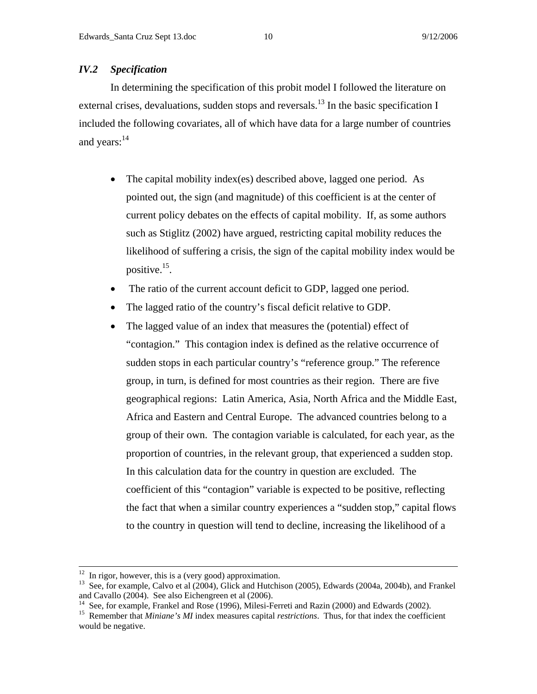## *IV.2 Specification*

In determining the specification of this probit model I followed the literature on external crises, devaluations, sudden stops and reversals.<sup>13</sup> In the basic specification I included the following covariates, all of which have data for a large number of countries and years:<sup>14</sup>

- The capital mobility index(es) described above, lagged one period. As pointed out, the sign (and magnitude) of this coefficient is at the center of current policy debates on the effects of capital mobility. If, as some authors such as Stiglitz (2002) have argued, restricting capital mobility reduces the likelihood of suffering a crisis, the sign of the capital mobility index would be positive.15.
- The ratio of the current account deficit to GDP, lagged one period.
- The lagged ratio of the country's fiscal deficit relative to GDP.
- The lagged value of an index that measures the (potential) effect of "contagion." This contagion index is defined as the relative occurrence of sudden stops in each particular country's "reference group." The reference group, in turn, is defined for most countries as their region. There are five geographical regions: Latin America, Asia, North Africa and the Middle East, Africa and Eastern and Central Europe. The advanced countries belong to a group of their own. The contagion variable is calculated, for each year, as the proportion of countries, in the relevant group, that experienced a sudden stop. In this calculation data for the country in question are excluded. The coefficient of this "contagion" variable is expected to be positive, reflecting the fact that when a similar country experiences a "sudden stop," capital flows to the country in question will tend to decline, increasing the likelihood of a

 $12$  In rigor, however, this is a (very good) approximation.

<sup>&</sup>lt;sup>13</sup> See, for example, Calvo et al (2004), Glick and Hutchison (2005), Edwards (2004a, 2004b), and Frankel and Cavallo (2004). See also Eichengreen et al (2006).

<sup>&</sup>lt;sup>14</sup> See, for example, Frankel and Rose (1996), Milesi-Ferreti and Razin (2000) and Edwards (2002).

<sup>15</sup> Remember that *Miniane's MI* index measures capital *restrictions*. Thus, for that index the coefficient would be negative.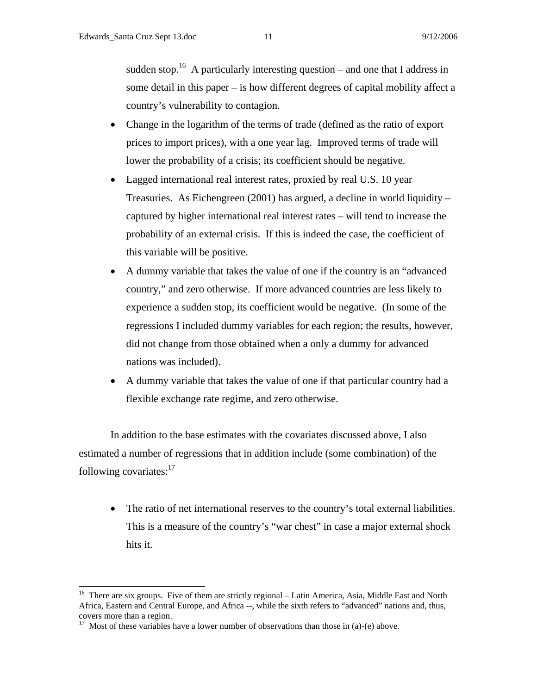sudden stop.<sup>16</sup> A particularly interesting question – and one that I address in some detail in this paper – is how different degrees of capital mobility affect a country's vulnerability to contagion.

- Change in the logarithm of the terms of trade (defined as the ratio of export prices to import prices), with a one year lag. Improved terms of trade will lower the probability of a crisis; its coefficient should be negative.
- Lagged international real interest rates, proxied by real U.S. 10 year Treasuries. As Eichengreen (2001) has argued, a decline in world liquidity – captured by higher international real interest rates – will tend to increase the probability of an external crisis. If this is indeed the case, the coefficient of this variable will be positive.
- A dummy variable that takes the value of one if the country is an "advanced country," and zero otherwise. If more advanced countries are less likely to experience a sudden stop, its coefficient would be negative. (In some of the regressions I included dummy variables for each region; the results, however, did not change from those obtained when a only a dummy for advanced nations was included).
- A dummy variable that takes the value of one if that particular country had a flexible exchange rate regime, and zero otherwise.

In addition to the base estimates with the covariates discussed above, I also estimated a number of regressions that in addition include (some combination) of the following covariates: $17$ 

• The ratio of net international reserves to the country's total external liabilities. This is a measure of the country's "war chest" in case a major external shock hits it.

 $\overline{a}$ 

<sup>&</sup>lt;sup>16</sup> There are six groups. Five of them are strictly regional – Latin America, Asia, Middle East and North Africa, Eastern and Central Europe, and Africa --, while the sixth refers to "advanced" nations and, thus, covers more than a region.

<sup>&</sup>lt;sup>17</sup> Most of these variables have a lower number of observations than those in (a)-(e) above.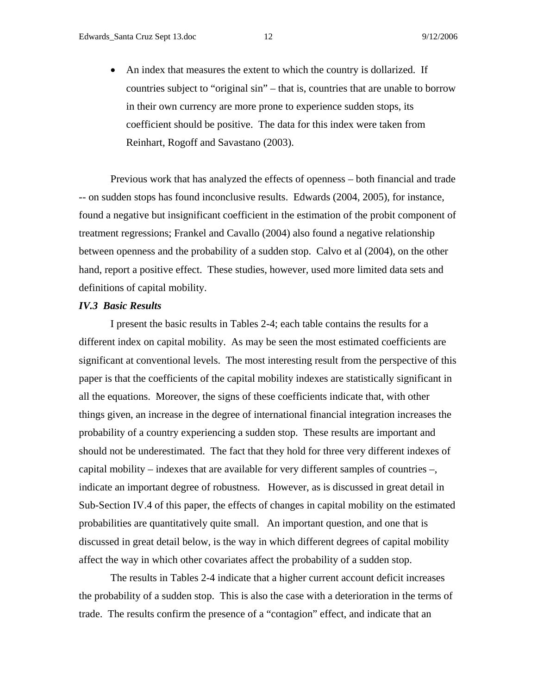• An index that measures the extent to which the country is dollarized. If countries subject to "original sin" – that is, countries that are unable to borrow in their own currency are more prone to experience sudden stops, its coefficient should be positive. The data for this index were taken from Reinhart, Rogoff and Savastano (2003).

 Previous work that has analyzed the effects of openness – both financial and trade -- on sudden stops has found inconclusive results. Edwards (2004, 2005), for instance, found a negative but insignificant coefficient in the estimation of the probit component of treatment regressions; Frankel and Cavallo (2004) also found a negative relationship between openness and the probability of a sudden stop. Calvo et al (2004), on the other hand, report a positive effect. These studies, however, used more limited data sets and definitions of capital mobility.

#### *IV.3 Basic Results*

I present the basic results in Tables 2-4; each table contains the results for a different index on capital mobility. As may be seen the most estimated coefficients are significant at conventional levels. The most interesting result from the perspective of this paper is that the coefficients of the capital mobility indexes are statistically significant in all the equations. Moreover, the signs of these coefficients indicate that, with other things given, an increase in the degree of international financial integration increases the probability of a country experiencing a sudden stop. These results are important and should not be underestimated. The fact that they hold for three very different indexes of capital mobility – indexes that are available for very different samples of countries –, indicate an important degree of robustness. However, as is discussed in great detail in Sub-Section IV.4 of this paper, the effects of changes in capital mobility on the estimated probabilities are quantitatively quite small. An important question, and one that is discussed in great detail below, is the way in which different degrees of capital mobility affect the way in which other covariates affect the probability of a sudden stop.

The results in Tables 2-4 indicate that a higher current account deficit increases the probability of a sudden stop. This is also the case with a deterioration in the terms of trade. The results confirm the presence of a "contagion" effect, and indicate that an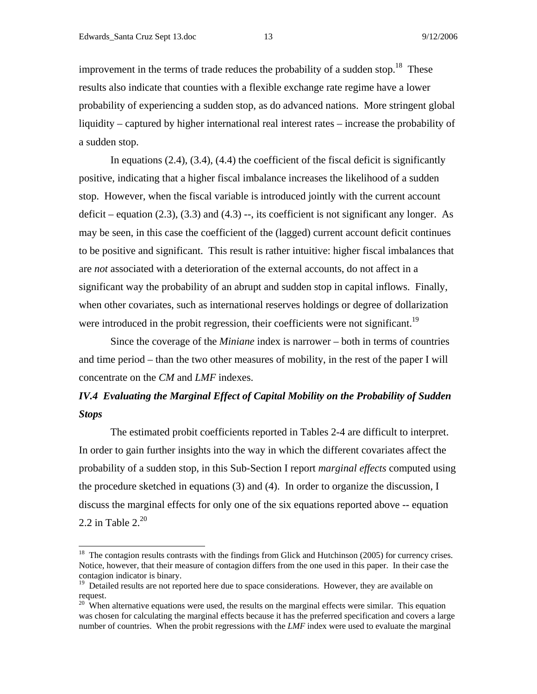improvement in the terms of trade reduces the probability of a sudden stop.<sup>18</sup> These results also indicate that counties with a flexible exchange rate regime have a lower probability of experiencing a sudden stop, as do advanced nations. More stringent global liquidity – captured by higher international real interest rates – increase the probability of a sudden stop.

In equations  $(2.4)$ ,  $(3.4)$ ,  $(4.4)$  the coefficient of the fiscal deficit is significantly positive, indicating that a higher fiscal imbalance increases the likelihood of a sudden stop. However, when the fiscal variable is introduced jointly with the current account deficit – equation  $(2.3)$ ,  $(3.3)$  and  $(4.3)$  –, its coefficient is not significant any longer. As may be seen, in this case the coefficient of the (lagged) current account deficit continues to be positive and significant. This result is rather intuitive: higher fiscal imbalances that are *not* associated with a deterioration of the external accounts, do not affect in a significant way the probability of an abrupt and sudden stop in capital inflows. Finally, when other covariates, such as international reserves holdings or degree of dollarization were introduced in the probit regression, their coefficients were not significant.<sup>19</sup>

Since the coverage of the *Miniane* index is narrower – both in terms of countries and time period – than the two other measures of mobility, in the rest of the paper I will concentrate on the *CM* and *LMF* indexes.

## *IV.4 Evaluating the Marginal Effect of Capital Mobility on the Probability of Sudden Stops*

 The estimated probit coefficients reported in Tables 2-4 are difficult to interpret. In order to gain further insights into the way in which the different covariates affect the probability of a sudden stop, in this Sub-Section I report *marginal effects* computed using the procedure sketched in equations (3) and (4). In order to organize the discussion, I discuss the marginal effects for only one of the six equations reported above -- equation 2.2 in Table  $2.^{20}$ 

 $18$  The contagion results contrasts with the findings from Glick and Hutchinson (2005) for currency crises. Notice, however, that their measure of contagion differs from the one used in this paper. In their case the contagion indicator is binary.

<sup>&</sup>lt;sup>19</sup> Detailed results are not reported here due to space considerations. However, they are available on request.

 $20$  When alternative equations were used, the results on the marginal effects were similar. This equation was chosen for calculating the marginal effects because it has the preferred specification and covers a large number of countries. When the probit regressions with the *LMF* index were used to evaluate the marginal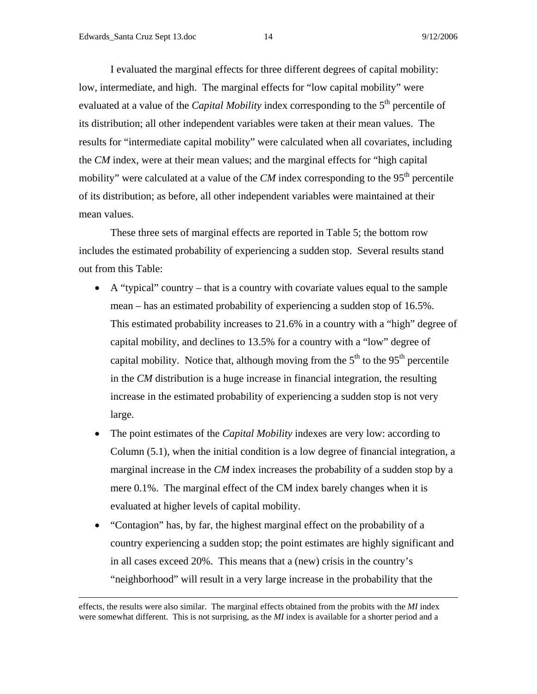I evaluated the marginal effects for three different degrees of capital mobility: low, intermediate, and high. The marginal effects for "low capital mobility" were evaluated at a value of the *Capital Mobility* index corresponding to the 5<sup>th</sup> percentile of its distribution; all other independent variables were taken at their mean values. The results for "intermediate capital mobility" were calculated when all covariates, including the *CM* index, were at their mean values; and the marginal effects for "high capital mobility" were calculated at a value of the  $CM$  index corresponding to the  $95<sup>th</sup>$  percentile of its distribution; as before, all other independent variables were maintained at their mean values.

 These three sets of marginal effects are reported in Table 5; the bottom row includes the estimated probability of experiencing a sudden stop. Several results stand out from this Table:

- A "typical" country that is a country with covariate values equal to the sample mean – has an estimated probability of experiencing a sudden stop of 16.5%. This estimated probability increases to 21.6% in a country with a "high" degree of capital mobility, and declines to 13.5% for a country with a "low" degree of capital mobility. Notice that, although moving from the  $5<sup>th</sup>$  to the  $95<sup>th</sup>$  percentile in the *CM* distribution is a huge increase in financial integration, the resulting increase in the estimated probability of experiencing a sudden stop is not very large.
- The point estimates of the *Capital Mobility* indexes are very low: according to Column (5.1), when the initial condition is a low degree of financial integration, a marginal increase in the *CM* index increases the probability of a sudden stop by a mere 0.1%. The marginal effect of the CM index barely changes when it is evaluated at higher levels of capital mobility.
- "Contagion" has, by far, the highest marginal effect on the probability of a country experiencing a sudden stop; the point estimates are highly significant and in all cases exceed 20%. This means that a (new) crisis in the country's "neighborhood" will result in a very large increase in the probability that the

effects, the results were also similar. The marginal effects obtained from the probits with the *MI* index were somewhat different. This is not surprising, as the *MI* index is available for a shorter period and a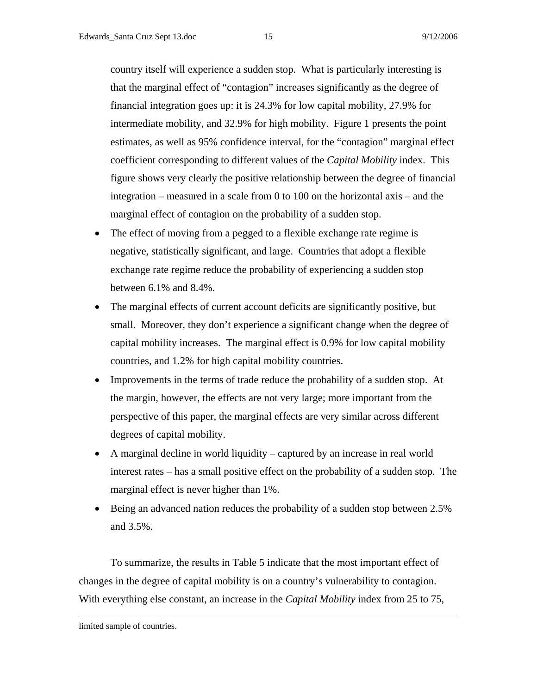country itself will experience a sudden stop. What is particularly interesting is that the marginal effect of "contagion" increases significantly as the degree of financial integration goes up: it is 24.3% for low capital mobility, 27.9% for intermediate mobility, and 32.9% for high mobility. Figure 1 presents the point estimates, as well as 95% confidence interval, for the "contagion" marginal effect coefficient corresponding to different values of the *Capital Mobility* index. This figure shows very clearly the positive relationship between the degree of financial integration – measured in a scale from 0 to 100 on the horizontal axis – and the marginal effect of contagion on the probability of a sudden stop.

- The effect of moving from a pegged to a flexible exchange rate regime is negative, statistically significant, and large. Countries that adopt a flexible exchange rate regime reduce the probability of experiencing a sudden stop between 6.1% and 8.4%.
- The marginal effects of current account deficits are significantly positive, but small. Moreover, they don't experience a significant change when the degree of capital mobility increases. The marginal effect is 0.9% for low capital mobility countries, and 1.2% for high capital mobility countries.
- Improvements in the terms of trade reduce the probability of a sudden stop. At the margin, however, the effects are not very large; more important from the perspective of this paper, the marginal effects are very similar across different degrees of capital mobility.
- A marginal decline in world liquidity captured by an increase in real world interest rates – has a small positive effect on the probability of a sudden stop. The marginal effect is never higher than 1%.
- Being an advanced nation reduces the probability of a sudden stop between 2.5% and 3.5%.

 To summarize, the results in Table 5 indicate that the most important effect of changes in the degree of capital mobility is on a country's vulnerability to contagion. With everything else constant, an increase in the *Capital Mobility* index from 25 to 75,

limited sample of countries.

 $\overline{a}$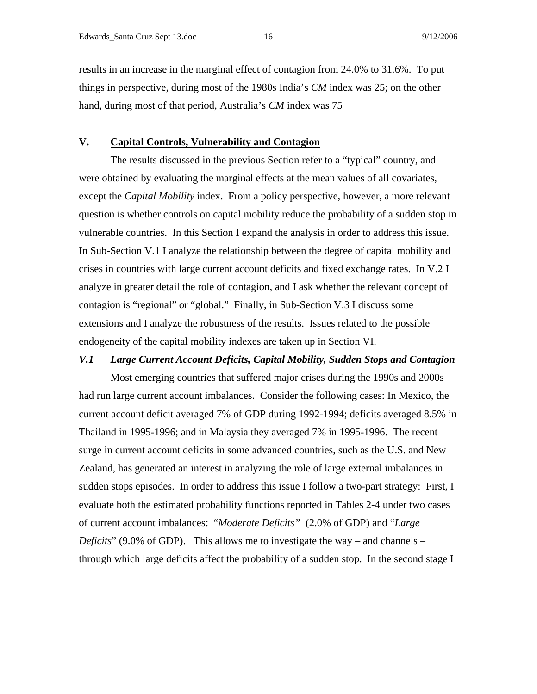results in an increase in the marginal effect of contagion from 24.0% to 31.6%. To put things in perspective, during most of the 1980s India's *CM* index was 25; on the other hand, during most of that period, Australia's *CM* index was 75

### **V. Capital Controls, Vulnerability and Contagion**

 The results discussed in the previous Section refer to a "typical" country, and were obtained by evaluating the marginal effects at the mean values of all covariates, except the *Capital Mobility* index. From a policy perspective, however, a more relevant question is whether controls on capital mobility reduce the probability of a sudden stop in vulnerable countries. In this Section I expand the analysis in order to address this issue. In Sub-Section V.1 I analyze the relationship between the degree of capital mobility and crises in countries with large current account deficits and fixed exchange rates. In V.2 I analyze in greater detail the role of contagion, and I ask whether the relevant concept of contagion is "regional" or "global." Finally, in Sub-Section V.3 I discuss some extensions and I analyze the robustness of the results. Issues related to the possible endogeneity of the capital mobility indexes are taken up in Section VI.

## *V.1 Large Current Account Deficits, Capital Mobility, Sudden Stops and Contagion*

 Most emerging countries that suffered major crises during the 1990s and 2000s had run large current account imbalances. Consider the following cases: In Mexico, the current account deficit averaged 7% of GDP during 1992-1994; deficits averaged 8.5% in Thailand in 1995-1996; and in Malaysia they averaged 7% in 1995-1996. The recent surge in current account deficits in some advanced countries, such as the U.S. and New Zealand, has generated an interest in analyzing the role of large external imbalances in sudden stops episodes. In order to address this issue I follow a two-part strategy: First, I evaluate both the estimated probability functions reported in Tables 2-4 under two cases of current account imbalances: "*Moderate Deficits"* (2.0% of GDP) and "*Large Deficits*" (9.0% of GDP). This allows me to investigate the way – and channels – through which large deficits affect the probability of a sudden stop. In the second stage I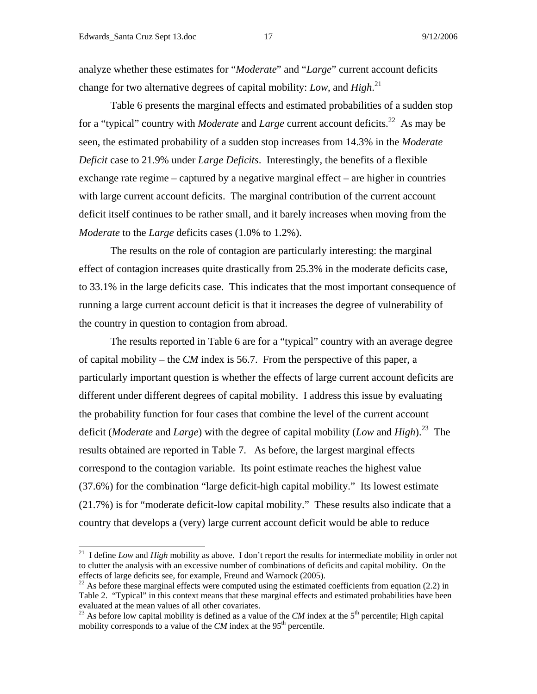analyze whether these estimates for "*Moderate*" and "*Large*" current account deficits change for two alternative degrees of capital mobility: *Low*, and *High*. 21

 Table 6 presents the marginal effects and estimated probabilities of a sudden stop for a "typical" country with *Moderate* and *Large* current account deficits.<sup>22</sup> As may be seen, the estimated probability of a sudden stop increases from 14.3% in the *Moderate Deficit* case to 21.9% under *Large Deficits*. Interestingly, the benefits of a flexible exchange rate regime – captured by a negative marginal effect – are higher in countries with large current account deficits. The marginal contribution of the current account deficit itself continues to be rather small, and it barely increases when moving from the *Moderate* to the *Large* deficits cases (1.0% to 1.2%).

 The results on the role of contagion are particularly interesting: the marginal effect of contagion increases quite drastically from 25.3% in the moderate deficits case, to 33.1% in the large deficits case. This indicates that the most important consequence of running a large current account deficit is that it increases the degree of vulnerability of the country in question to contagion from abroad.

 The results reported in Table 6 are for a "typical" country with an average degree of capital mobility – the *CM* index is 56.7. From the perspective of this paper, a particularly important question is whether the effects of large current account deficits are different under different degrees of capital mobility. I address this issue by evaluating the probability function for four cases that combine the level of the current account deficit (*Moderate* and *Large*) with the degree of capital mobility (*Low* and *High*).23 The results obtained are reported in Table 7. As before, the largest marginal effects correspond to the contagion variable. Its point estimate reaches the highest value (37.6%) for the combination "large deficit-high capital mobility." Its lowest estimate (21.7%) is for "moderate deficit-low capital mobility." These results also indicate that a country that develops a (very) large current account deficit would be able to reduce

<sup>&</sup>lt;sup>21</sup> I define *Low* and *High* mobility as above. I don't report the results for intermediate mobility in order not to clutter the analysis with an excessive number of combinations of deficits and capital mobility. On the effects of large deficits see, for example, Freund and Warnock (2005).

 $22$  As before these marginal effects were computed using the estimated coefficients from equation (2.2) in Table 2. "Typical" in this context means that these marginal effects and estimated probabilities have been evaluated at the mean values of all other covariates.

<sup>&</sup>lt;sup>23</sup> As before low capital mobility is defined as a value of the *CM* index at the  $5<sup>th</sup>$  percentile; High capital mobility corresponds to a value of the *CM* index at the 95<sup>th</sup> percentile.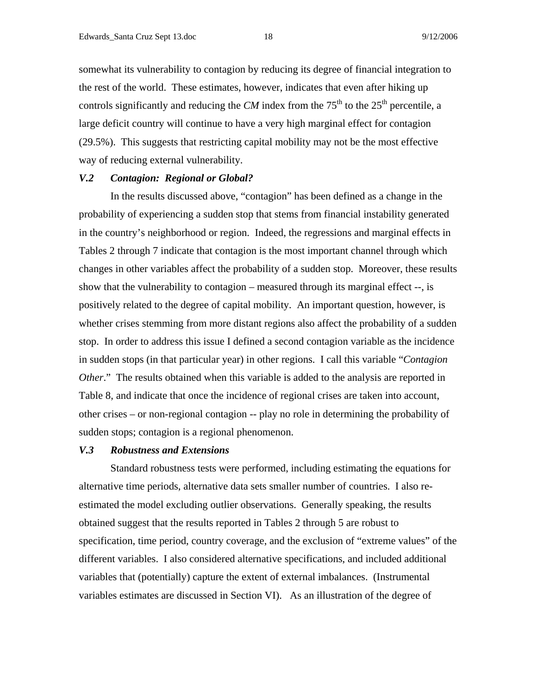somewhat its vulnerability to contagion by reducing its degree of financial integration to the rest of the world. These estimates, however, indicates that even after hiking up controls significantly and reducing the *CM* index from the  $75<sup>th</sup>$  to the  $25<sup>th</sup>$  percentile, a large deficit country will continue to have a very high marginal effect for contagion (29.5%). This suggests that restricting capital mobility may not be the most effective way of reducing external vulnerability.

### *V.2 Contagion: Regional or Global?*

 In the results discussed above, "contagion" has been defined as a change in the probability of experiencing a sudden stop that stems from financial instability generated in the country's neighborhood or region. Indeed, the regressions and marginal effects in Tables 2 through 7 indicate that contagion is the most important channel through which changes in other variables affect the probability of a sudden stop. Moreover, these results show that the vulnerability to contagion – measured through its marginal effect --, is positively related to the degree of capital mobility. An important question, however, is whether crises stemming from more distant regions also affect the probability of a sudden stop. In order to address this issue I defined a second contagion variable as the incidence in sudden stops (in that particular year) in other regions. I call this variable "*Contagion Other*." The results obtained when this variable is added to the analysis are reported in Table 8, and indicate that once the incidence of regional crises are taken into account, other crises – or non-regional contagion -- play no role in determining the probability of sudden stops; contagion is a regional phenomenon.

## *V.3 Robustness and Extensions*

Standard robustness tests were performed, including estimating the equations for alternative time periods, alternative data sets smaller number of countries. I also reestimated the model excluding outlier observations. Generally speaking, the results obtained suggest that the results reported in Tables 2 through 5 are robust to specification, time period, country coverage, and the exclusion of "extreme values" of the different variables. I also considered alternative specifications, and included additional variables that (potentially) capture the extent of external imbalances. (Instrumental variables estimates are discussed in Section VI). As an illustration of the degree of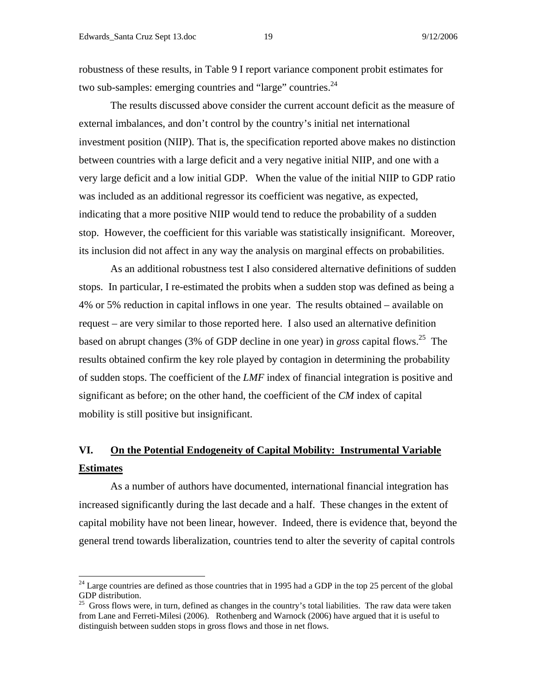robustness of these results, in Table 9 I report variance component probit estimates for two sub-samples: emerging countries and "large" countries.  $^{24}$ 

The results discussed above consider the current account deficit as the measure of external imbalances, and don't control by the country's initial net international investment position (NIIP). That is, the specification reported above makes no distinction between countries with a large deficit and a very negative initial NIIP, and one with a very large deficit and a low initial GDP. When the value of the initial NIIP to GDP ratio was included as an additional regressor its coefficient was negative, as expected, indicating that a more positive NIIP would tend to reduce the probability of a sudden stop. However, the coefficient for this variable was statistically insignificant. Moreover, its inclusion did not affect in any way the analysis on marginal effects on probabilities.

As an additional robustness test I also considered alternative definitions of sudden stops. In particular, I re-estimated the probits when a sudden stop was defined as being a 4% or 5% reduction in capital inflows in one year. The results obtained – available on request – are very similar to those reported here. I also used an alternative definition based on abrupt changes (3% of GDP decline in one year) in *gross* capital flows.<sup>25</sup> The results obtained confirm the key role played by contagion in determining the probability of sudden stops. The coefficient of the *LMF* index of financial integration is positive and significant as before; on the other hand, the coefficient of the *CM* index of capital mobility is still positive but insignificant.

# **VI. On the Potential Endogeneity of Capital Mobility: Instrumental Variable Estimates**

 As a number of authors have documented, international financial integration has increased significantly during the last decade and a half. These changes in the extent of capital mobility have not been linear, however. Indeed, there is evidence that, beyond the general trend towards liberalization, countries tend to alter the severity of capital controls

 $24$  Large countries are defined as those countries that in 1995 had a GDP in the top 25 percent of the global GDP distribution.

 $25$  Gross flows were, in turn, defined as changes in the country's total liabilities. The raw data were taken from Lane and Ferreti-Milesi (2006). Rothenberg and Warnock (2006) have argued that it is useful to distinguish between sudden stops in gross flows and those in net flows.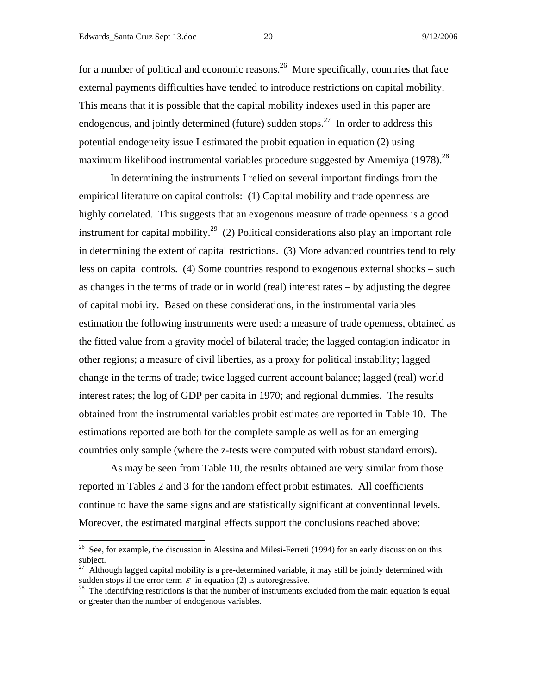for a number of political and economic reasons.<sup>26</sup> More specifically, countries that face external payments difficulties have tended to introduce restrictions on capital mobility. This means that it is possible that the capital mobility indexes used in this paper are endogenous, and jointly determined (future) sudden stops.<sup>27</sup> In order to address this potential endogeneity issue I estimated the probit equation in equation (2) using maximum likelihood instrumental variables procedure suggested by Amemiya (1978).<sup>28</sup>

 In determining the instruments I relied on several important findings from the empirical literature on capital controls: (1) Capital mobility and trade openness are highly correlated. This suggests that an exogenous measure of trade openness is a good instrument for capital mobility.<sup>29</sup> (2) Political considerations also play an important role in determining the extent of capital restrictions. (3) More advanced countries tend to rely less on capital controls. (4) Some countries respond to exogenous external shocks – such as changes in the terms of trade or in world (real) interest rates – by adjusting the degree of capital mobility. Based on these considerations, in the instrumental variables estimation the following instruments were used: a measure of trade openness, obtained as the fitted value from a gravity model of bilateral trade; the lagged contagion indicator in other regions; a measure of civil liberties, as a proxy for political instability; lagged change in the terms of trade; twice lagged current account balance; lagged (real) world interest rates; the log of GDP per capita in 1970; and regional dummies. The results obtained from the instrumental variables probit estimates are reported in Table 10. The estimations reported are both for the complete sample as well as for an emerging countries only sample (where the z-tests were computed with robust standard errors).

 As may be seen from Table 10, the results obtained are very similar from those reported in Tables 2 and 3 for the random effect probit estimates. All coefficients continue to have the same signs and are statistically significant at conventional levels. Moreover, the estimated marginal effects support the conclusions reached above:

 $26$  See, for example, the discussion in Alessina and Milesi-Ferreti (1994) for an early discussion on this subject.

 $^{27}$  Although lagged capital mobility is a pre-determined variable, it may still be jointly determined with sudden stops if the error term  $\varepsilon$  in equation (2) is autoregressive.<br><sup>28</sup> The identifying restrictions is that the number of instruments excluded from the main equation is equal

or greater than the number of endogenous variables.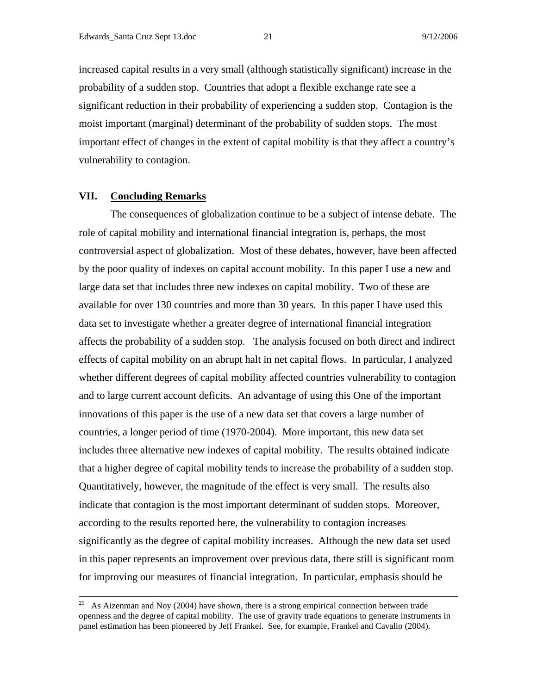increased capital results in a very small (although statistically significant) increase in the probability of a sudden stop. Countries that adopt a flexible exchange rate see a significant reduction in their probability of experiencing a sudden stop. Contagion is the moist important (marginal) determinant of the probability of sudden stops. The most important effect of changes in the extent of capital mobility is that they affect a country's vulnerability to contagion.

### **VII. Concluding Remarks**

 The consequences of globalization continue to be a subject of intense debate. The role of capital mobility and international financial integration is, perhaps, the most controversial aspect of globalization. Most of these debates, however, have been affected by the poor quality of indexes on capital account mobility. In this paper I use a new and large data set that includes three new indexes on capital mobility. Two of these are available for over 130 countries and more than 30 years. In this paper I have used this data set to investigate whether a greater degree of international financial integration affects the probability of a sudden stop. The analysis focused on both direct and indirect effects of capital mobility on an abrupt halt in net capital flows. In particular, I analyzed whether different degrees of capital mobility affected countries vulnerability to contagion and to large current account deficits. An advantage of using this One of the important innovations of this paper is the use of a new data set that covers a large number of countries, a longer period of time (1970-2004). More important, this new data set includes three alternative new indexes of capital mobility. The results obtained indicate that a higher degree of capital mobility tends to increase the probability of a sudden stop. Quantitatively, however, the magnitude of the effect is very small. The results also indicate that contagion is the most important determinant of sudden stops. Moreover, according to the results reported here, the vulnerability to contagion increases significantly as the degree of capital mobility increases. Although the new data set used in this paper represents an improvement over previous data, there still is significant room for improving our measures of financial integration. In particular, emphasis should be

<sup>&</sup>lt;sup>29</sup> As Aizenman and Noy (2004) have shown, there is a strong empirical connection between trade openness and the degree of capital mobility. The use of gravity trade equations to generate instruments in panel estimation has been pioneered by Jeff Frankel. See, for example, Frankel and Cavallo (2004).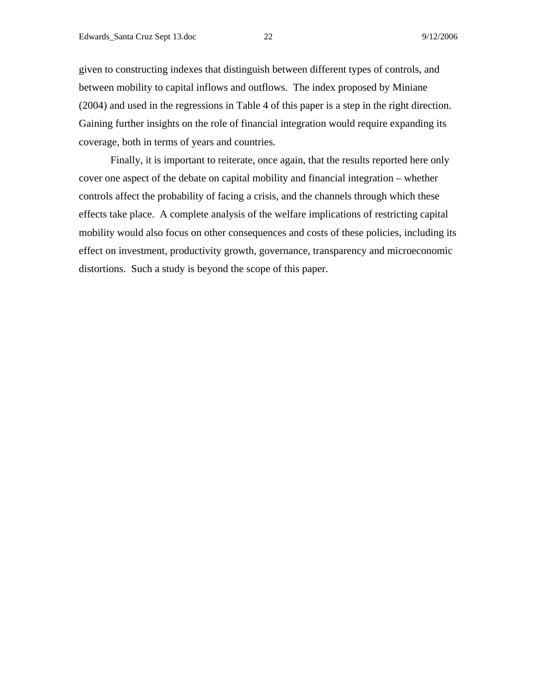given to constructing indexes that distinguish between different types of controls, and between mobility to capital inflows and outflows. The index proposed by Miniane (2004) and used in the regressions in Table 4 of this paper is a step in the right direction. Gaining further insights on the role of financial integration would require expanding its coverage, both in terms of years and countries.

 Finally, it is important to reiterate, once again, that the results reported here only cover one aspect of the debate on capital mobility and financial integration – whether controls affect the probability of facing a crisis, and the channels through which these effects take place. A complete analysis of the welfare implications of restricting capital mobility would also focus on other consequences and costs of these policies, including its effect on investment, productivity growth, governance, transparency and microeconomic distortions. Such a study is beyond the scope of this paper.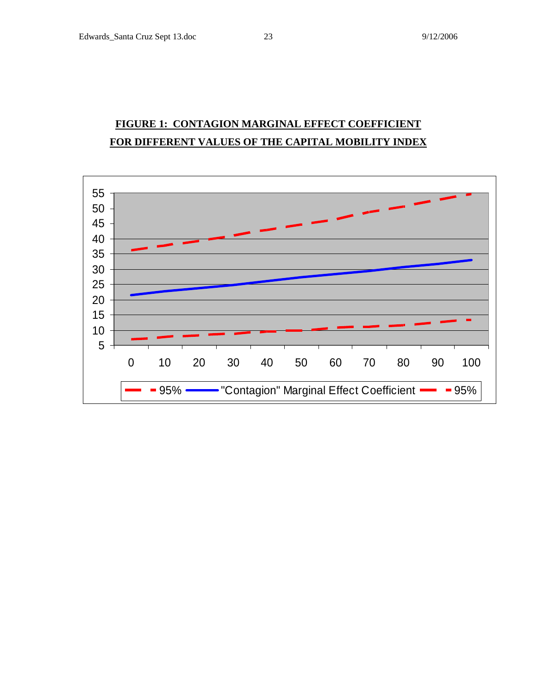# **FIGURE 1: CONTAGION MARGINAL EFFECT COEFFICIENT FOR DIFFERENT VALUES OF THE CAPITAL MOBILITY INDEX**

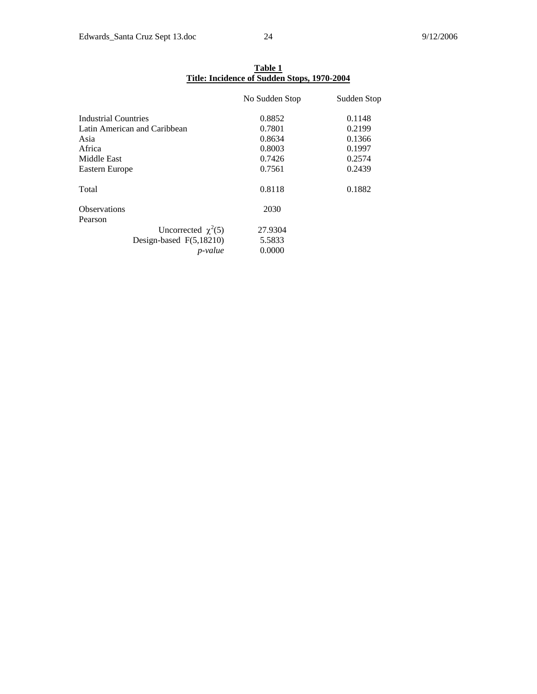|                                | <u>Title: Incidence of Sudden Stops, 1970-2004</u> |             |  |
|--------------------------------|----------------------------------------------------|-------------|--|
|                                | No Sudden Stop                                     | Sudden Stop |  |
| Industrial Countries           | 0.8852                                             | 0.1148      |  |
| Latin American and Caribbean   | 0.7801                                             | 0.2199      |  |
| Asia                           | 0.8634                                             | 0.1366      |  |
| Africa                         | 0.8003                                             | 0.1997      |  |
| Middle East                    | 0.7426                                             | 0.2574      |  |
| Eastern Europe                 | 0.7561                                             | 0.2439      |  |
| Total                          | 0.8118                                             | 0.1882      |  |
| <b>Observations</b><br>Pearson | 2030                                               |             |  |
| Uncorrected $\chi^2(5)$        | 27.9304                                            |             |  |
| Design-based F(5,18210)        | 5.5833                                             |             |  |
| <i>p</i> -value                | 0.0000                                             |             |  |

**Table 1 Title: Incidence of Sudden Stops, 1970-2004**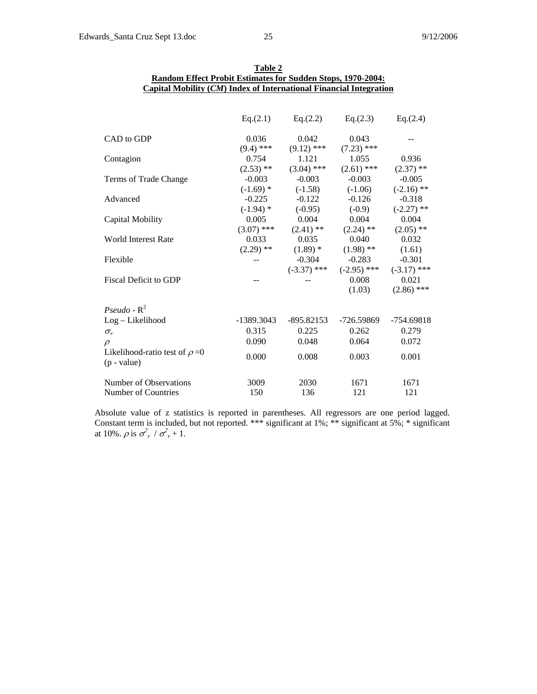|                                                      | Eq.(2.1)     | Eq.(2.2)      | Eq.(2.3)      | Eq.(2.4)      |
|------------------------------------------------------|--------------|---------------|---------------|---------------|
| CAD to GDP                                           | 0.036        | 0.042         | 0.043         |               |
|                                                      | $(9.4)$ ***  | $(9.12)$ ***  | $(7.23)$ ***  |               |
| Contagion                                            | 0.754        | 1.121         | 1.055         | 0.936         |
|                                                      | $(2.53)$ **  | $(3.04)$ ***  | $(2.61)$ ***  | $(2.37)$ **   |
| Terms of Trade Change                                | $-0.003$     | $-0.003$      | $-0.003$      | $-0.005$      |
|                                                      | $(-1.69)$ *  | $(-1.58)$     | $(-1.06)$     | $(-2.16)$ **  |
| Advanced                                             | $-0.225$     | $-0.122$      | $-0.126$      | $-0.318$      |
|                                                      | $(-1.94)$ *  | $(-0.95)$     | $(-0.9)$      | $(-2.27)$ **  |
| Capital Mobility                                     | 0.005        | 0.004         | 0.004         | 0.004         |
|                                                      | $(3.07)$ *** | $(2.41)$ **   | $(2.24)$ **   | $(2.05)$ **   |
| <b>World Interest Rate</b>                           | 0.033        | 0.035         | 0.040         | 0.032         |
|                                                      | $(2.29)$ **  | $(1.89)$ *    | $(1.98)$ **   | (1.61)        |
| Flexible                                             |              | $-0.304$      | $-0.283$      | $-0.301$      |
|                                                      |              | $(-3.37)$ *** | $(-2.95)$ *** | $(-3.17)$ *** |
| <b>Fiscal Deficit to GDP</b>                         |              |               | 0.008         | 0.021         |
|                                                      |              |               | (1.03)        | $(2.86)$ ***  |
| Pseudo - $R^2$                                       |              |               |               |               |
| Log-Likelihood                                       | -1389.3043   | -895.82153    | -726.59869    | $-754.69818$  |
| $\sigma_{v}$                                         | 0.315        | 0.225         | 0.262         | 0.279         |
| $\mathcal{D}$                                        | 0.090        | 0.048         | 0.064         | 0.072         |
| Likelihood-ratio test of $\rho = 0$<br>$(p - value)$ | 0.000        | 0.008         | 0.003         | 0.001         |
| Number of Observations                               | 3009         | 2030          | 1671          | 1671          |
| Number of Countries                                  | 150          | 136           | 121           | 121           |

| Table 2                                                              |
|----------------------------------------------------------------------|
| <b>Random Effect Probit Estimates for Sudden Stops, 1970-2004:</b>   |
| Capital Mobility $(CM)$ Index of International Financial Integration |

Absolute value of z statistics is reported in parentheses. All regressors are one period lagged. Constant term is included, but not reported. \*\*\* significant at 1%; \*\* significant at 5%; \* significant at 10%.  $\rho$  is  $\sigma_v^2 / \sigma_v^2 + 1$ .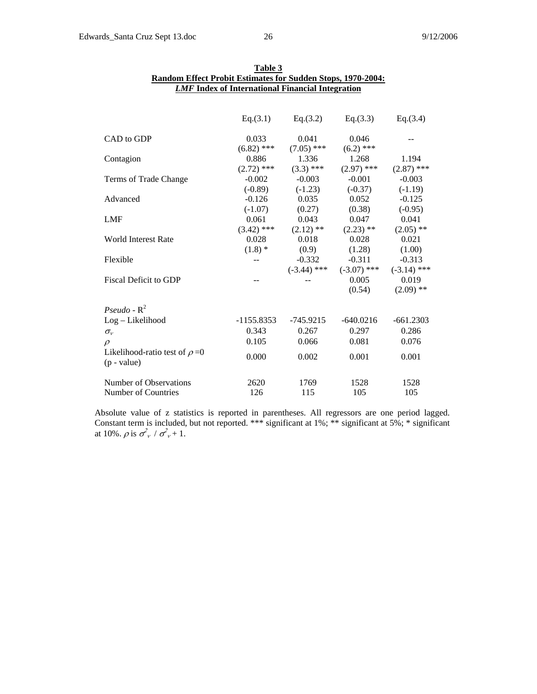|                                                      | Eq.(3.1)     | Eq.(3.2)                 | Eq. $(3.3)$                               | Eq.(3.4)     |
|------------------------------------------------------|--------------|--------------------------|-------------------------------------------|--------------|
| CAD to GDP                                           | 0.033        | 0.041                    | 0.046                                     |              |
|                                                      | $(6.82)$ *** | $(7.05)$ ***             | $(6.2)$ ***                               |              |
| Contagion                                            | 0.886        | 1.336                    | 1.268                                     | 1.194        |
|                                                      | $(2.72)$ *** | $(3.3)$ ***              | $(2.97)$ ***                              | $(2.87)$ *** |
| Terms of Trade Change                                | $-0.002$     | $-0.003$                 | $-0.001$                                  | $-0.003$     |
|                                                      | $(-0.89)$    | $(-1.23)$                | $(-0.37)$                                 | $(-1.19)$    |
| Advanced                                             | $-0.126$     | 0.035                    | 0.052                                     | $-0.125$     |
|                                                      | $(-1.07)$    | (0.27)                   | (0.38)                                    | $(-0.95)$    |
| <b>LMF</b>                                           | 0.061        | 0.043                    | 0.047                                     | 0.041        |
|                                                      |              | $(3.42)$ *** $(2.12)$ ** | $(2.23)$ **                               | $(2.05)$ **  |
| <b>World Interest Rate</b>                           | 0.028        | 0.018                    | 0.028                                     | 0.021        |
|                                                      | $(1.8)$ *    | (0.9)                    | (1.28)                                    | (1.00)       |
| Flexible                                             |              | $-0.332$                 | $-0.311$                                  | $-0.313$     |
|                                                      |              |                          | $(-3.44)$ *** $(-3.07)$ *** $(-3.14)$ *** |              |
| <b>Fiscal Deficit to GDP</b>                         |              |                          | 0.005                                     | 0.019        |
|                                                      |              |                          | (0.54)                                    | $(2.09)$ **  |
| Pseudo - $R^2$                                       |              |                          |                                           |              |
| Log-Likelihood                                       | -1155.8353   | -745.9215                | $-640.0216$                               | $-661.2303$  |
| $\sigma_{v}$                                         | 0.343        | 0.267                    | 0.297                                     | 0.286        |
| $\rho$                                               | 0.105        | 0.066                    | 0.081                                     | 0.076        |
| Likelihood-ratio test of $\rho = 0$<br>$(p - value)$ | 0.000        | 0.002                    | 0.001                                     | 0.001        |
| Number of Observations                               | 2620         | 1769                     | 1528                                      | 1528         |
| Number of Countries                                  | 126          | 115                      | 105                                       | 105          |

| Table 3                                                            |
|--------------------------------------------------------------------|
| <b>Random Effect Probit Estimates for Sudden Stops, 1970-2004:</b> |
| <i>LMF</i> Index of International Financial Integration            |

Absolute value of z statistics is reported in parentheses. All regressors are one period lagged. Constant term is included, but not reported. \*\*\* significant at 1%; \*\* significant at 5%; \* significant at 10%.  $\rho$  is  $\sigma_v^2 / \sigma_v^2 + 1$ .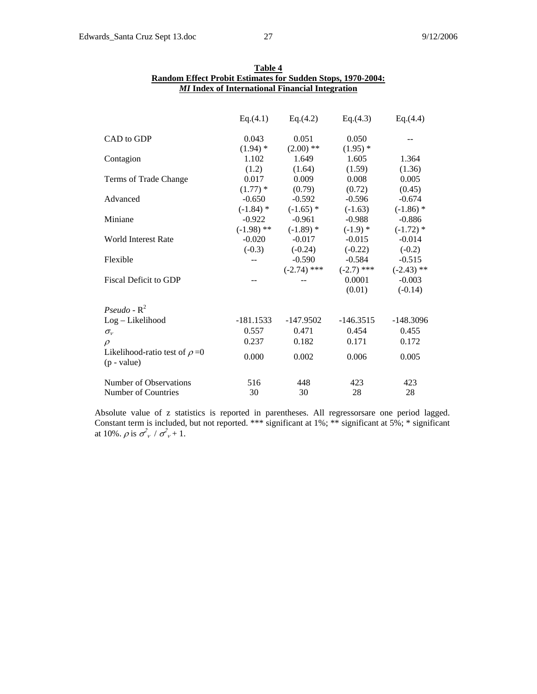|                                                      | Eq.(4.1)                 | Eq.(4.2)                 | Eq.(4.3)     | Eq.(4.4)     |
|------------------------------------------------------|--------------------------|--------------------------|--------------|--------------|
| CAD to GDP                                           | 0.043                    | 0.051                    | 0.050        |              |
|                                                      | $(1.94)$ *               | $(2.00)$ **              | $(1.95)$ *   |              |
| Contagion                                            | 1.102                    | 1.649                    | 1.605        | 1.364        |
|                                                      | (1.2)                    | (1.64)                   | (1.59)       | (1.36)       |
| Terms of Trade Change                                | 0.017                    | 0.009                    | 0.008        | 0.005        |
|                                                      | $(1.77)$ *               | (0.79)                   | (0.72)       | (0.45)       |
| Advanced                                             | $-0.650$                 | $-0.592$                 | $-0.596$     | $-0.674$     |
|                                                      | $(-1.84)$ *              | $(-1.65)$ *              | $(-1.63)$    | $(-1.86)$ *  |
| Miniane                                              | $-0.922$                 | $-0.961$                 | -0.988       | $-0.886$     |
|                                                      |                          | $(-1.98)$ ** $(-1.89)$ * | $(-1.9)$ *   | $(-1.72)$ *  |
| World Interest Rate                                  | $-0.020$                 | $-0.017$                 | $-0.015$     | $-0.014$     |
|                                                      | $(-0.3)$                 | $(-0.24)$                | $(-0.22)$    | $(-0.2)$     |
| Flexible                                             | $\overline{\phantom{a}}$ | $-0.590$                 | $-0.584$     | $-0.515$     |
|                                                      |                          | $(-2.74)$ ***            | $(-2.7)$ *** | $(-2.43)$ ** |
| Fiscal Deficit to GDP                                | $-$                      |                          | 0.0001       | $-0.003$     |
|                                                      |                          |                          | (0.01)       | $(-0.14)$    |
| Pseudo - $R^2$                                       |                          |                          |              |              |
| Log-Likelihood                                       | -181.1533                | $-147.9502$              | $-146.3515$  | $-148.3096$  |
| $\sigma_{v}$                                         | 0.557                    | 0.471                    | 0.454        | 0.455        |
| $\varrho$                                            | 0.237                    | 0.182                    | 0.171        | 0.172        |
| Likelihood-ratio test of $\rho = 0$<br>$(p - value)$ | 0.000                    | 0.002                    | 0.006        | 0.005        |
| Number of Observations                               | 516                      | 448                      | 423          | 423          |
| Number of Countries                                  | 30                       | 30                       | 28           | 28           |

| Table 4                                                            |  |  |  |
|--------------------------------------------------------------------|--|--|--|
| <b>Random Effect Probit Estimates for Sudden Stops, 1970-2004:</b> |  |  |  |
| <b>MI</b> Index of International Financial Integration             |  |  |  |

Absolute value of z statistics is reported in parentheses. All regressorsare one period lagged. Constant term is included, but not reported. \*\*\* significant at 1%; \*\* significant at 5%; \* significant at 10%.  $\rho$  is  $\sigma_v^2 / \sigma_v^2 + 1$ .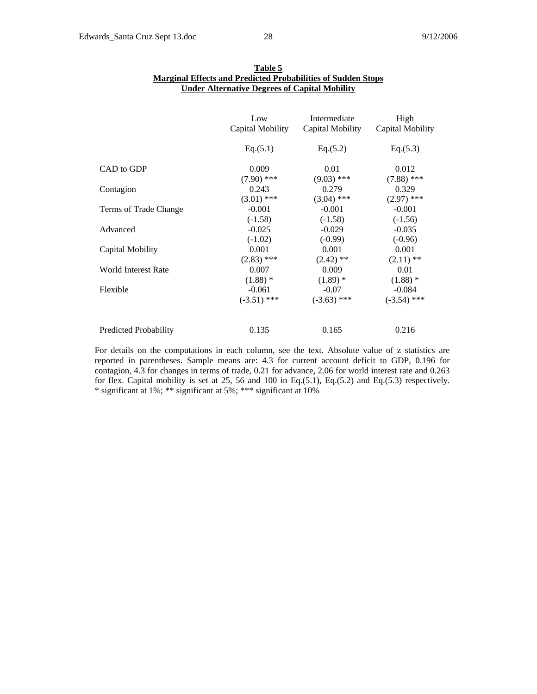|                              | Low              | Intermediate     | High             |
|------------------------------|------------------|------------------|------------------|
|                              | Capital Mobility | Capital Mobility | Capital Mobility |
|                              | Eq.(5.1)         | Eq.(5.2)         | Eq.(5.3)         |
| CAD to GDP                   | 0.009            | 0.01             | 0.012            |
|                              | $(7.90)$ ***     | $(9.03)$ ***     | $(7.88)$ ***     |
| Contagion                    | 0.243            | 0.279            | 0.329            |
|                              | $(3.01)$ ***     | $(3.04)$ ***     | $(2.97)$ ***     |
| Terms of Trade Change        | $-0.001$         | $-0.001$         | $-0.001$         |
|                              | $(-1.58)$        | $(-1.58)$        | $(-1.56)$        |
| Advanced                     | $-0.025$         | $-0.029$         | $-0.035$         |
|                              | $(-1.02)$        | $(-0.99)$        | $(-0.96)$        |
| Capital Mobility             | 0.001            | 0.001            | 0.001            |
|                              | $(2.83)$ ***     | $(2.42)$ **      | $(2.11)$ **      |
| <b>World Interest Rate</b>   | 0.007            | 0.009            | 0.01             |
|                              | $(1.88)$ *       | $(1.89)$ *       | $(1.88)$ *       |
| Flexible                     | $-0.061$         | $-0.07$          | $-0.084$         |
|                              | $(-3.51)$ ***    | $(-3.63)$ ***    | $(-3.54)$ ***    |
| <b>Predicted Probability</b> | 0.135            | 0.165            | 0.216            |

| Table 5                                                             |
|---------------------------------------------------------------------|
| <b>Marginal Effects and Predicted Probabilities of Sudden Stops</b> |
| <b>Under Alternative Degrees of Capital Mobility</b>                |

For details on the computations in each column, see the text. Absolute value of z statistics are reported in parentheses. Sample means are: 4.3 for current account deficit to GDP, 0.196 for contagion, 4.3 for changes in terms of trade, 0.21 for advance, 2.06 for world interest rate and 0.263 for flex. Capital mobility is set at 25, 56 and 100 in Eq.(5.1), Eq.(5.2) and Eq.(5.3) respectively. \* significant at 1%; \*\* significant at 5%; \*\*\* significant at 10%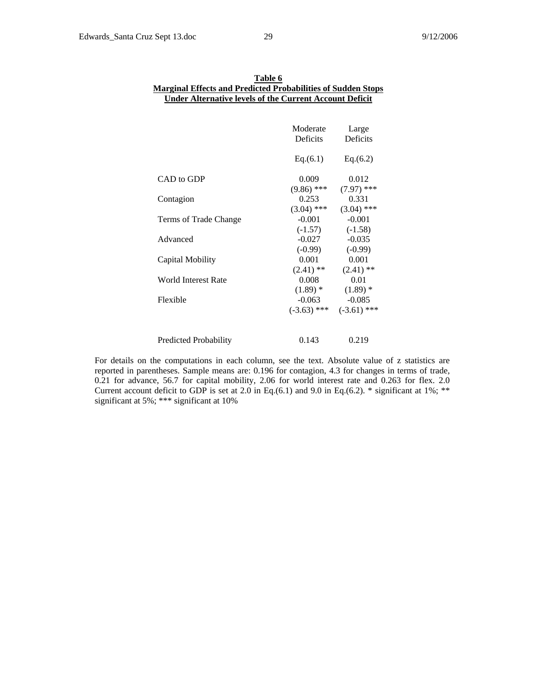| Table 6                                                             |
|---------------------------------------------------------------------|
| <b>Marginal Effects and Predicted Probabilities of Sudden Stops</b> |
| <b>Under Alternative levels of the Current Account Deficit</b>      |
|                                                                     |

|                       | Moderate<br>Deficits | Large<br>Deficits |
|-----------------------|----------------------|-------------------|
|                       | Eq.(6.1)             | Eq.(6.2)          |
| CAD to GDP            | 0.009                | 0.012             |
|                       | $(9.86)$ ***         | $(7.97)$ ***      |
| Contagion             | 0.253                | 0.331             |
|                       | $(3.04)$ ***         | $(3.04)$ ***      |
| Terms of Trade Change | $-0.001$             | $-0.001$          |
|                       | $(-1.57)$            | $(-1.58)$         |
| Advanced              | $-0.027$             | $-0.035$          |
|                       | $(-0.99)$            | $(-0.99)$         |
| Capital Mobility      | 0.001                | 0.001             |
|                       | $(2.41)$ **          | $(2.41)$ **       |
| World Interest Rate   | 0.008                | 0.01              |
|                       | $(1.89)$ *           | $(1.89)$ *        |
| Flexible              | $-0.063$             | $-0.085$          |
|                       | $(-3.63)$ ***        | $(-3.61)$ ***     |
| Predicted Probability | 0.143                | 0.219             |

For details on the computations in each column, see the text. Absolute value of z statistics are reported in parentheses. Sample means are: 0.196 for contagion, 4.3 for changes in terms of trade, 0.21 for advance, 56.7 for capital mobility, 2.06 for world interest rate and 0.263 for flex. 2.0 Current account deficit to GDP is set at 2.0 in Eq.(6.1) and 9.0 in Eq.(6.2).  $*$  significant at 1%;  $**$ significant at 5%; \*\*\* significant at 10%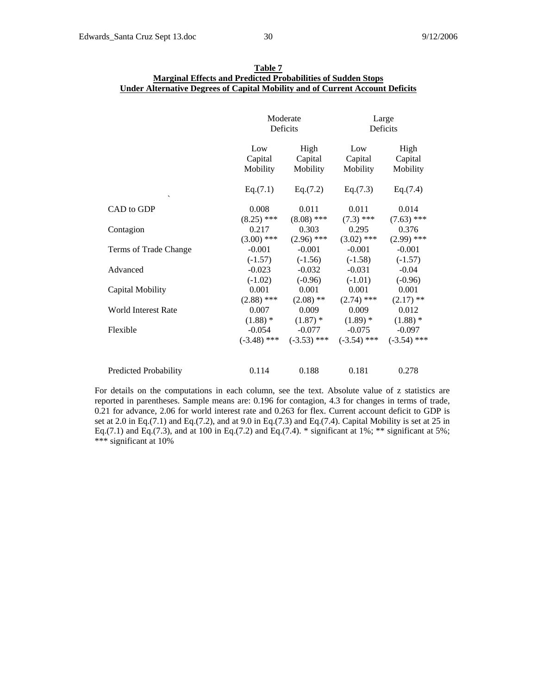|                          | Moderate<br>Deficits |               | Large<br>Deficits |               |
|--------------------------|----------------------|---------------|-------------------|---------------|
|                          | Low                  | High          | Low               | High          |
|                          | Capital              | Capital       | Capital           | Capital       |
|                          | Mobility             | Mobility      | Mobility          | Mobility      |
| $\overline{\phantom{0}}$ | Eq.(7.1)             | Eq.(7.2)      | Eq.(7.3)          | Eq.(7.4)      |
| CAD to GDP               | 0.008                | 0.011         | 0.011             | 0.014         |
|                          | $(8.25)$ ***         | $(8.08)$ ***  | $(7.3)$ ***       | $(7.63)$ ***  |
| Contagion                | 0.217                | 0.303         | 0.295             | 0.376         |
|                          | $(3.00)$ ***         | $(2.96)$ ***  | $(3.02)$ ***      | $(2.99)$ ***  |
| Terms of Trade Change    | $-0.001$             | $-0.001$      | $-0.001$          | $-0.001$      |
|                          | $(-1.57)$            | $(-1.56)$     | $(-1.58)$         | $(-1.57)$     |
| Advanced                 | $-0.023$             | $-0.032$      | $-0.031$          | $-0.04$       |
|                          | $(-1.02)$            | $(-0.96)$     | $(-1.01)$         | $(-0.96)$     |
| Capital Mobility         | 0.001                | 0.001         | 0.001             | 0.001         |
|                          | $(2.88)$ ***         | $(2.08)$ **   | $(2.74)$ ***      | $(2.17)$ **   |
| World Interest Rate      | 0.007                | 0.009         | 0.009             | 0.012         |
|                          | $(1.88)$ *           | $(1.87)$ *    | $(1.89)$ *        | $(1.88)$ *    |
| Flexible                 | $-0.054$             | $-0.077$      | $-0.075$          | $-0.097$      |
|                          | $(-3.48)$ ***        | $(-3.53)$ *** | $(-3.54)$ ***     | $(-3.54)$ *** |
| Predicted Probability    | 0.114                | 0.188         | 0.181             | 0.278         |

| Table 7                                                                       |
|-------------------------------------------------------------------------------|
| <b>Marginal Effects and Predicted Probabilities of Sudden Stops</b>           |
| Under Alternative Degrees of Capital Mobility and of Current Account Deficits |

For details on the computations in each column, see the text. Absolute value of z statistics are reported in parentheses. Sample means are: 0.196 for contagion, 4.3 for changes in terms of trade, 0.21 for advance, 2.06 for world interest rate and 0.263 for flex. Current account deficit to GDP is set at 2.0 in Eq.(7.1) and Eq.(7.2), and at 9.0 in Eq.(7.3) and Eq.(7.4). Capital Mobility is set at 25 in Eq.(7.1) and Eq.(7.3), and at 100 in Eq.(7.2) and Eq.(7.4).  $*$  significant at 1%;  $**$  significant at 5%; \*\*\* significant at 10%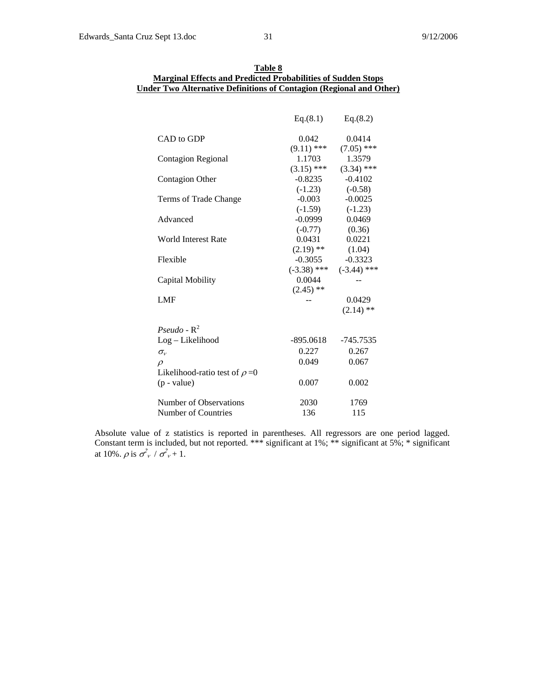|                                     | Eq.(8.1)      | Eq.(8.2)      |
|-------------------------------------|---------------|---------------|
| CAD to GDP                          | 0.042         | 0.0414        |
|                                     | $(9.11)$ ***  | $(7.05)$ ***  |
| <b>Contagion Regional</b>           | 1.1703        | 1.3579        |
|                                     | $(3.15)$ ***  | $(3.34)$ ***  |
| <b>Contagion Other</b>              | $-0.8235$     | $-0.4102$     |
|                                     | $(-1.23)$     | $(-0.58)$     |
| Terms of Trade Change               | $-0.003$      | $-0.0025$     |
|                                     | $(-1.59)$     | $(-1.23)$     |
| Advanced                            | $-0.0999$     | 0.0469        |
|                                     | $(-0.77)$     | (0.36)        |
| <b>World Interest Rate</b>          | 0.0431        | 0.0221        |
|                                     | $(2.19)$ **   | (1.04)        |
| Flexible                            | $-0.3055$     | $-0.3323$     |
|                                     | $(-3.38)$ *** | $(-3.44)$ *** |
| Capital Mobility                    | 0.0044        |               |
|                                     | $(2.45)$ **   |               |
| LMF                                 |               | 0.0429        |
|                                     |               | $(2.14)$ **   |
|                                     |               |               |
| Pseudo - $R^2$                      |               |               |
| Log-Likelihood                      | -895.0618     | $-745.7535$   |
| $\sigma_{v}$                        | 0.227         | 0.267         |
| $\rho$                              | 0.049         | 0.067         |
| Likelihood-ratio test of $\rho = 0$ |               |               |
| $(p - value)$                       | 0.007         | 0.002         |
|                                     |               |               |
| Number of Observations              | 2030          | 1769          |
| Number of Countries                 | 136           | 115           |

| Table 8                                                             |
|---------------------------------------------------------------------|
| <b>Marginal Effects and Predicted Probabilities of Sudden Stops</b> |
| Under Two Alternative Definitions of Contagion (Regional and Other) |

Absolute value of z statistics is reported in parentheses. All regressors are one period lagged. Constant term is included, but not reported. \*\*\* significant at 1%; \*\* significant at 5%; \* significant at 10%.  $\rho$  is  $\sigma_v^2 / \sigma_v^2 + 1$ .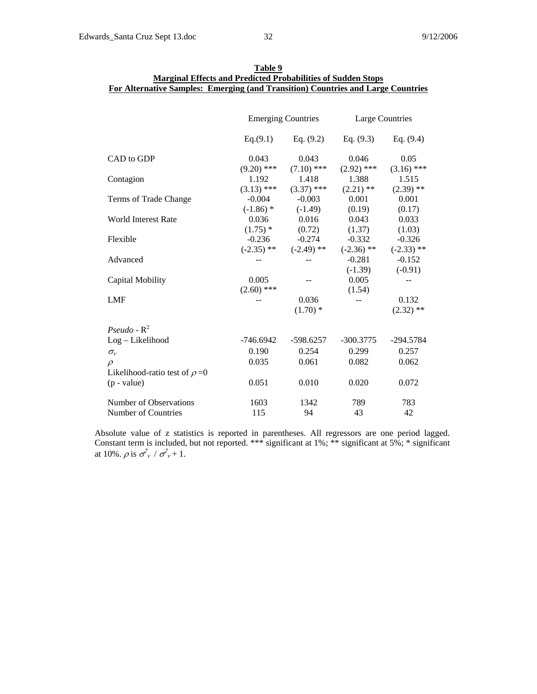|                                     | <b>Emerging Countries</b> |                           | Large Countries          |                          |
|-------------------------------------|---------------------------|---------------------------|--------------------------|--------------------------|
|                                     | Eq.(9.1)                  | Eq. $(9.2)$               | Eq. $(9.3)$              | Eq. $(9.4)$              |
| CAD to GDP                          | 0.043                     | 0.043                     | 0.046                    | 0.05                     |
| Contagion                           | $(9.20)$ ***<br>1.192     | $(7.10)$ ***<br>1.418     | $(2.92)$ ***<br>1.388    | $(3.16)$ ***<br>1.515    |
| Terms of Trade Change               | $(3.13)$ ***<br>$-0.004$  | $(3.37)$ ***<br>$-0.003$  | $(2.21)$ **<br>0.001     | $(2.39)$ **<br>0.001     |
| <b>World Interest Rate</b>          | $(-1.86)$ *<br>0.036      | $(-1.49)$<br>0.016        | (0.19)<br>0.043          | (0.17)<br>0.033          |
| Flexible                            | $(1.75)$ *<br>$-0.236$    | (0.72)<br>$-0.274$        | (1.37)<br>$-0.332$       | (1.03)<br>$-0.326$       |
| Advanced                            |                           | $(-2.35)$ ** $(-2.49)$ ** | $(-2.36)$ **<br>$-0.281$ | $(-2.33)$ **<br>$-0.152$ |
|                                     |                           |                           | $(-1.39)$                | $(-0.91)$                |
| Capital Mobility                    | 0.005<br>$(2.60)$ ***     |                           | 0.005<br>(1.54)          |                          |
| <b>LMF</b>                          |                           | 0.036<br>$(1.70)$ *       | $-$                      | 0.132<br>$(2.32)$ **     |
| Pseudo - $R^2$                      |                           |                           |                          |                          |
| Log-Likelihood                      | $-746.6942$               | $-598.6257$               | $-300.3775$              | $-294.5784$              |
| $\sigma_{v}$                        | 0.190                     | 0.254                     | 0.299                    | 0.257                    |
| $\rho$                              | 0.035                     | 0.061                     | 0.082                    | 0.062                    |
| Likelihood-ratio test of $\rho = 0$ |                           |                           |                          |                          |
| $(p - value)$                       | 0.051                     | 0.010                     | 0.020                    | 0.072                    |
| Number of Observations              | 1603                      | 1342                      | 789                      | 783                      |
| Number of Countries                 | 115                       | 94                        | 43                       | 42                       |

| Table 9                                                                          |  |
|----------------------------------------------------------------------------------|--|
| <b>Marginal Effects and Predicted Probabilities of Sudden Stops</b>              |  |
| For Alternative Samples: Emerging (and Transition) Countries and Large Countries |  |

Absolute value of z statistics is reported in parentheses. All regressors are one period lagged. Constant term is included, but not reported. \*\*\* significant at 1%; \*\* significant at 5%; \* significant at 10%.  $\rho$  is  $\sigma_v^2 / \sigma_v^2 + 1$ .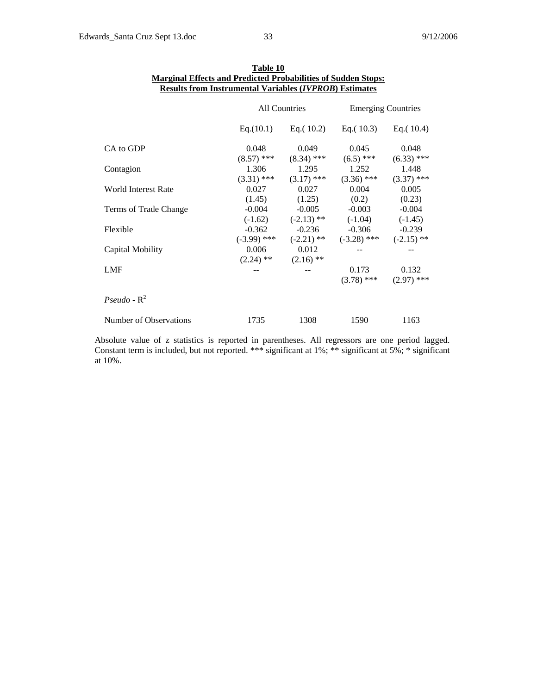|                        | Results from Instrumental Variables ( <i>IVPROB</i> ) Estimates |                                    |                                                                                              |                       |
|------------------------|-----------------------------------------------------------------|------------------------------------|----------------------------------------------------------------------------------------------|-----------------------|
|                        | All Countries                                                   |                                    | <b>Emerging Countries</b>                                                                    |                       |
|                        |                                                                 |                                    | Eq. $(10.1)$ Eq. $(10.2)$ Eq. $(10.3)$ Eq. $(10.4)$                                          |                       |
| CA to GDP              | 0.048                                                           | 0.049<br>$(8.57)$ *** $(8.34)$ *** | 0.045<br>$(6.5)$ ***                                                                         | 0.048<br>$(6.33)$ *** |
| Contagion              |                                                                 | 1.306 1.295                        | 1.252<br>$(3.31)$ *** $(3.17)$ *** $(3.36)$ *** $(3.37)$ ***                                 | 1.448                 |
| World Interest Rate    | 0.027                                                           |                                    | 0.027 0.004<br>$(1.45)$ $(1.25)$ $(0.2)$                                                     | 0.005<br>(0.23)       |
| Terms of Trade Change  | $-0.004$                                                        |                                    | $-0.005$ $-0.003$<br>$(-1.62)$ $(-2.13)$ ** $(-1.04)$ $(-1.45)$                              | $-0.004$              |
| Flexible               |                                                                 |                                    | $-0.362$ $-0.236$ $-0.306$ $-0.239$<br>$(-3.99)$ *** $(-2.21)$ ** $(-3.28)$ *** $(-2.15)$ ** |                       |
| Capital Mobility       | 0.006<br>$(2.24)$ ** $(2.16)$ **                                | 0.012                              |                                                                                              |                       |
| LMF                    |                                                                 | $--$                               | 0.173<br>$(3.78)$ *** $(2.97)$ ***                                                           | 0.132                 |
| Pseudo - $R^2$         |                                                                 |                                    |                                                                                              |                       |
| Number of Observations | 1735                                                            | 1308                               | 1590                                                                                         | 1163                  |

| Table 10                                                             |
|----------------------------------------------------------------------|
| <b>Marginal Effects and Predicted Probabilities of Sudden Stops:</b> |
| <b>Results from Instrumental Variables (IVPROB) Estimates</b>        |

Absolute value of z statistics is reported in parentheses. All regressors are one period lagged. Constant term is included, but not reported. \*\*\* significant at 1%; \*\* significant at 5%; \* significant at 10%.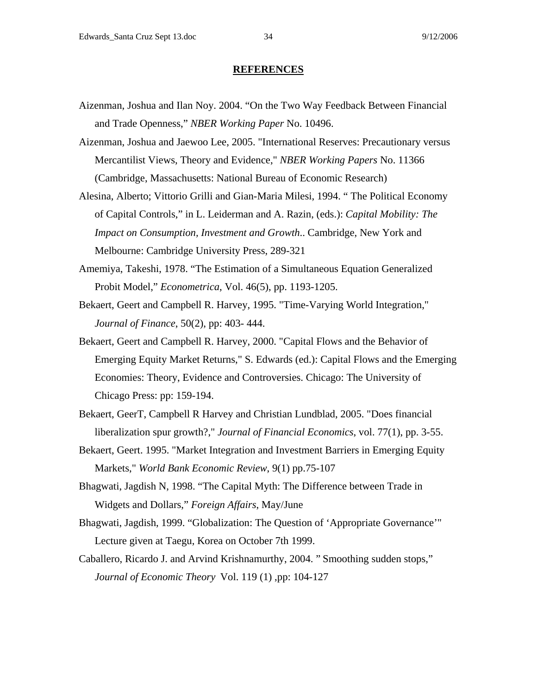#### **REFERENCES**

- Aizenman, Joshua and Ilan Noy. 2004. "On the Two Way Feedback Between Financial and Trade Openness," *NBER Working Paper* No. 10496.
- Aizenman, Joshua and Jaewoo Lee, 2005. "International Reserves: Precautionary versus Mercantilist Views, Theory and Evidence," *NBER Working Papers* No. 11366 (Cambridge, Massachusetts: National Bureau of Economic Research)
- Alesina, Alberto; Vittorio Grilli and Gian-Maria Milesi, 1994. " The Political Economy of Capital Controls," in L. Leiderman and A. Razin, (eds.): *Capital Mobility: The Impact on Consumption, Investment and Growth*.. Cambridge, New York and Melbourne: Cambridge University Press, 289-321
- Amemiya, Takeshi, 1978. "The Estimation of a Simultaneous Equation Generalized Probit Model," *Econometrica*, Vol. 46(5), pp. 1193-1205.
- Bekaert, Geert and Campbell R. Harvey, 1995. "Time-Varying World Integration," *Journal of Finance*, 50(2), pp: 403- 444.
- Bekaert, Geert and Campbell R. Harvey, 2000. "Capital Flows and the Behavior of Emerging Equity Market Returns," S. Edwards (ed.): Capital Flows and the Emerging Economies: Theory, Evidence and Controversies. Chicago: The University of Chicago Press: pp: 159-194.
- Bekaert, GeerT, Campbell R Harvey and Christian Lundblad, 2005. "Does financial liberalization spur growth?," *Journal of Financial Economics*, vol. 77(1), pp. 3-55.
- Bekaert, Geert. 1995. "Market Integration and Investment Barriers in Emerging Equity Markets," *World Bank Economic Review*, 9(1) pp.75-107
- Bhagwati, Jagdish N, 1998. "The Capital Myth: The Difference between Trade in Widgets and Dollars," *Foreign Affairs*, May/June
- Bhagwati, Jagdish, 1999. "Globalization: The Question of 'Appropriate Governance'" Lecture given at Taegu, Korea on October 7th 1999.
- Caballero, Ricardo J. and Arvind Krishnamurthy, 2004. " Smoothing sudden stops," *Journal of Economic Theory* Vol. 119 (1) ,pp: 104-127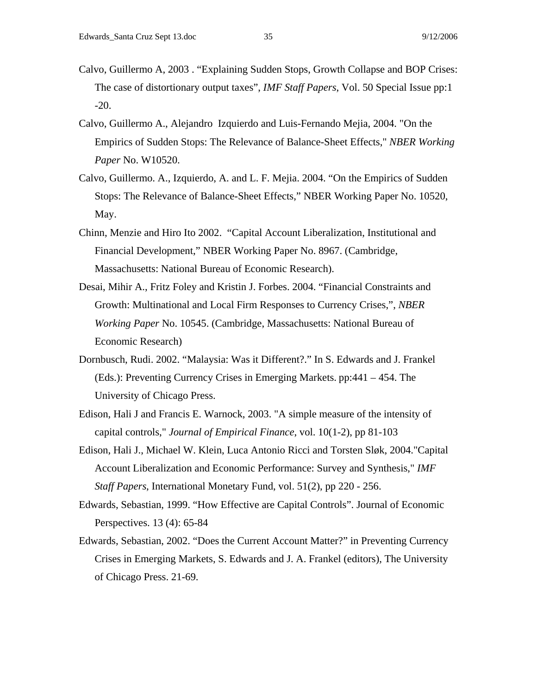- Calvo, Guillermo A, 2003 . "Explaining Sudden Stops, Growth Collapse and BOP Crises: The case of distortionary output taxes", *IMF Staff Papers*, Vol. 50 Special Issue pp:1 -20.
- Calvo, Guillermo A., Alejandro Izquierdo and Luis-Fernando Mejia, 2004. "On the Empirics of Sudden Stops: The Relevance of Balance-Sheet Effects," *NBER Working Paper* No. W10520.
- Calvo, Guillermo. A., Izquierdo, A. and L. F. Mejia. 2004. "On the Empirics of Sudden Stops: The Relevance of Balance-Sheet Effects," NBER Working Paper No. 10520, May.
- Chinn, Menzie and Hiro Ito 2002. "Capital Account Liberalization, Institutional and Financial Development," NBER Working Paper No. 8967. (Cambridge, Massachusetts: National Bureau of Economic Research).
- Desai, Mihir A., Fritz Foley and Kristin J. Forbes. 2004. "Financial Constraints and Growth: Multinational and Local Firm Responses to Currency Crises,", *NBER Working Paper* No. 10545. (Cambridge, Massachusetts: National Bureau of Economic Research)
- Dornbusch, Rudi. 2002. "Malaysia: Was it Different?." In S. Edwards and J. Frankel (Eds.): Preventing Currency Crises in Emerging Markets. pp:441 – 454. The University of Chicago Press.
- Edison, Hali J and Francis E. Warnock, 2003. "A simple measure of the intensity of capital controls," *Journal of Empirical Finance*, vol. 10(1-2), pp 81-103
- Edison, Hali J., Michael W. Klein, Luca Antonio Ricci and Torsten Sløk, 2004."Capital Account Liberalization and Economic Performance: Survey and Synthesis," *IMF Staff Papers*, International Monetary Fund, vol. 51(2), pp 220 - 256.
- Edwards, Sebastian, 1999. "How Effective are Capital Controls". Journal of Economic Perspectives. 13 (4): 65-84
- Edwards, Sebastian, 2002. "Does the Current Account Matter?" in Preventing Currency Crises in Emerging Markets, S. Edwards and J. A. Frankel (editors), The University of Chicago Press. 21-69.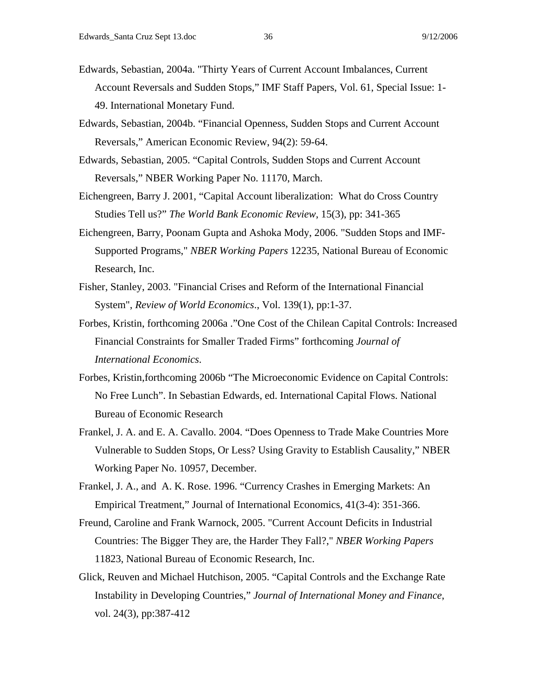- Edwards, Sebastian, 2004a. "Thirty Years of Current Account Imbalances, Current Account Reversals and Sudden Stops," IMF Staff Papers, Vol. 61, Special Issue: 1- 49. International Monetary Fund.
- Edwards, Sebastian, 2004b. "Financial Openness, Sudden Stops and Current Account Reversals," American Economic Review, 94(2): 59-64.
- Edwards, Sebastian, 2005. "Capital Controls, Sudden Stops and Current Account Reversals," NBER Working Paper No. 11170, March.
- Eichengreen, Barry J. 2001, "Capital Account liberalization: What do Cross Country Studies Tell us?" *The World Bank Economic Review*, 15(3), pp: 341-365
- Eichengreen, Barry, Poonam Gupta and Ashoka Mody, 2006. "Sudden Stops and IMF-Supported Programs," *NBER Working Papers* 12235, National Bureau of Economic Research, Inc.
- Fisher, Stanley, 2003. "Financial Crises and Reform of the International Financial System", *Review of World Economics*., Vol. 139(1), pp:1-37.
- Forbes, Kristin, forthcoming 2006a ."One Cost of the Chilean Capital Controls: Increased Financial Constraints for Smaller Traded Firms" forthcoming *Journal of International Economics*.
- Forbes, Kristin,forthcoming 2006b "The Microeconomic Evidence on Capital Controls: No Free Lunch". In Sebastian Edwards, ed. International Capital Flows. National Bureau of Economic Research
- Frankel, J. A. and E. A. Cavallo. 2004. "Does Openness to Trade Make Countries More Vulnerable to Sudden Stops, Or Less? Using Gravity to Establish Causality," NBER Working Paper No. 10957, December.
- Frankel, J. A., and A. K. Rose. 1996. "Currency Crashes in Emerging Markets: An Empirical Treatment," Journal of International Economics, 41(3-4): 351-366.
- Freund, Caroline and Frank Warnock, 2005. "Current Account Deficits in Industrial Countries: The Bigger They are, the Harder They Fall?," *NBER Working Papers* 11823, National Bureau of Economic Research, Inc.
- Glick, Reuven and Michael Hutchison, 2005. "Capital Controls and the Exchange Rate Instability in Developing Countries," *Journal of International Money and Finance*, vol. 24(3), pp:387-412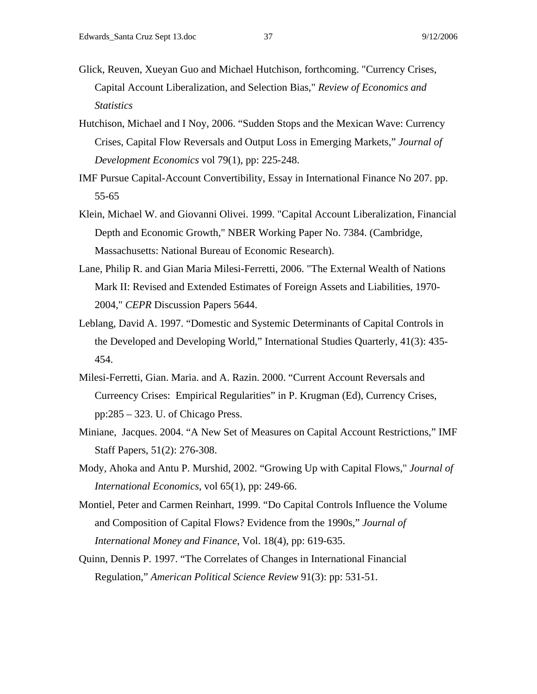- Glick, Reuven, Xueyan Guo and Michael Hutchison, forthcoming. "Currency Crises, Capital Account Liberalization, and Selection Bias," *Review of Economics and Statistics*
- Hutchison, Michael and I Noy, 2006. "Sudden Stops and the Mexican Wave: Currency Crises, Capital Flow Reversals and Output Loss in Emerging Markets," *Journal of Development Economics* vol 79(1), pp: 225-248.
- IMF Pursue Capital-Account Convertibility, Essay in International Finance No 207. pp. 55-65
- Klein, Michael W. and Giovanni Olivei. 1999. "Capital Account Liberalization, Financial Depth and Economic Growth," NBER Working Paper No. 7384. (Cambridge, Massachusetts: National Bureau of Economic Research).
- Lane, Philip R. and Gian Maria Milesi-Ferretti, 2006. "The External Wealth of Nations Mark II: Revised and Extended Estimates of Foreign Assets and Liabilities, 1970- 2004," *CEPR* Discussion Papers 5644.
- Leblang, David A. 1997. "Domestic and Systemic Determinants of Capital Controls in the Developed and Developing World," International Studies Quarterly, 41(3): 435- 454.
- Milesi-Ferretti, Gian. Maria. and A. Razin. 2000. "Current Account Reversals and Curreency Crises: Empirical Regularities" in P. Krugman (Ed), Currency Crises, pp:285 – 323. U. of Chicago Press.
- Miniane, Jacques. 2004. "A New Set of Measures on Capital Account Restrictions," IMF Staff Papers, 51(2): 276-308.
- Mody, Ahoka and Antu P. Murshid, 2002. "Growing Up with Capital Flows," *Journal of International Economics*, vol 65(1), pp: 249-66.
- Montiel, Peter and Carmen Reinhart, 1999. "Do Capital Controls Influence the Volume and Composition of Capital Flows? Evidence from the 1990s," *Journal of International Money and Finance*, Vol. 18(4), pp: 619-635.
- Quinn, Dennis P. 1997. "The Correlates of Changes in International Financial Regulation," *American Political Science Review* 91(3): pp: 531-51.